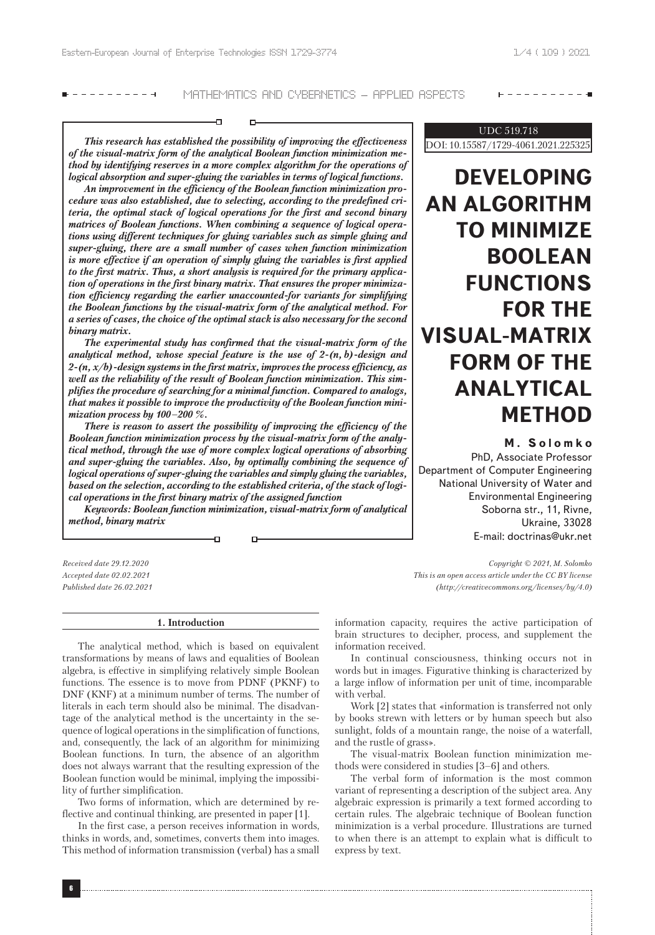----------

# ----------

MATHEMATICS AND CYBERNETICS – APPLIED ASPECTS

*This research has established the possibility of improving the effectiveness of the visual-matrix form of the analytical Boolean function minimization method by identifying reserves in a more complex algorithm for the operations of logical absorption and super-gluing the variables in terms of logical functions.*

o-

*An improvement in the efficiency of the Boolean function minimization procedure was also established, due to selecting, according to the predefined criteria, the optimal stack of logical operations for the first and second binary matrices of Boolean functions. When combining a sequence of logical operations using different techniques for gluing variables such as simple gluing and super-gluing, there are a small number of cases when function minimization is more effective if an operation of simply gluing the variables is first applied to the first matrix. Thus, a short analysis is required for the primary application of operations in the first binary matrix. That ensures the proper minimization efficiency regarding the earlier unaccounted-for variants for simplifying the Boolean functions by the visual-matrix form of the analytical method. For a series of cases, the choice of the optimal stack is also necessary for the second binary matrix.*

*The experimental study has confirmed that the visual-matrix form of the analytical method, whose special feature is the use of 2-(n, b)-design and 2-(n, x/b)-design systems in the first matrix, improves the process efficiency, as well as the reliability of the result of Boolean function minimization. This simplifies the procedure of searching for a minimal function. Compared to analogs, that makes it possible to improve the productivity of the Boolean function minimization process by 100–200 %.*

*There is reason to assert the possibility of improving the efficiency of the Boolean function minimization process by the visual-matrix form of the analytical method, through the use of more complex logical operations of absorbing and super-gluing the variables. Also, by optimally combining the sequence of logical operations of super-gluing the variables and simply gluing the variables, based on the selection, according to the established criteria, of the stack of logical operations in the first binary matrix of the assigned function*

*Keywords: Boolean function minimization, visual-matrix form of analytical method, binary matrix*

ŦП

*Received date 29.12.2020 Accepted date 02.02.2021 Published date 26.02.2021*

#### **1. Introduction**

The analytical method, which is based on equivalent transformations by means of laws and equalities of Boolean algebra, is effective in simplifying relatively simple Boolean functions. The essence is to move from PDNF (PKNF) to DNF (KNF) at a minimum number of terms. The number of literals in each term should also be minimal. The disadvantage of the analytical method is the uncertainty in the sequence of logical operations in the simplification of functions, and, consequently, the lack of an algorithm for minimizing Boolean functions. In turn, the absence of an algorithm does not always warrant that the resulting expression of the Boolean function would be minimal, implying the impossibility of further simplification.

Two forms of information, which are determined by reflective and continual thinking, are presented in paper [1].

In the first case, a person receives information in words, thinks in words, and, sometimes, converts them into images. This method of information transmission (verbal) has a small

# UDC 519.718 DOI: 10.15587/1729-4061.2021.225325

# **DEVELOPING AN ALGORITHM TO MINIMIZE BOOLEAN FUNCTIONS FOR THE VISUAL-MATRIX FORM OF THE ANALYTICAL METHOD**

**M . Solomko**

PhD, Associate Professor Department of Computer Engineering National University of Water and Environmental Engineering Soborna str., 11, Rivne, Ukraine, 33028 E-mail: doctrinas@ukr.net

*Copyright © 2021, M. Solomko This is an open access article under the CC BY license (http://creativecommons.org/licenses/by/4.0)*

information capacity, requires the active participation of brain structures to decipher, process, and supplement the information received.

In continual consciousness, thinking occurs not in words but in images. Figurative thinking is characterized by a large inflow of information per unit of time, incomparable with verbal.

Work [2] states that «information is transferred not only by books strewn with letters or by human speech but also sunlight, folds of a mountain range, the noise of a waterfall, and the rustle of grass».

The visual-matrix Boolean function minimization methods were considered in studies [3–6] and others.

The verbal form of information is the most common variant of representing a description of the subject area. Any algebraic expression is primarily a text formed according to certain rules. The algebraic technique of Boolean function minimization is a verbal procedure. Illustrations are turned to when there is an attempt to explain what is difficult to express by text.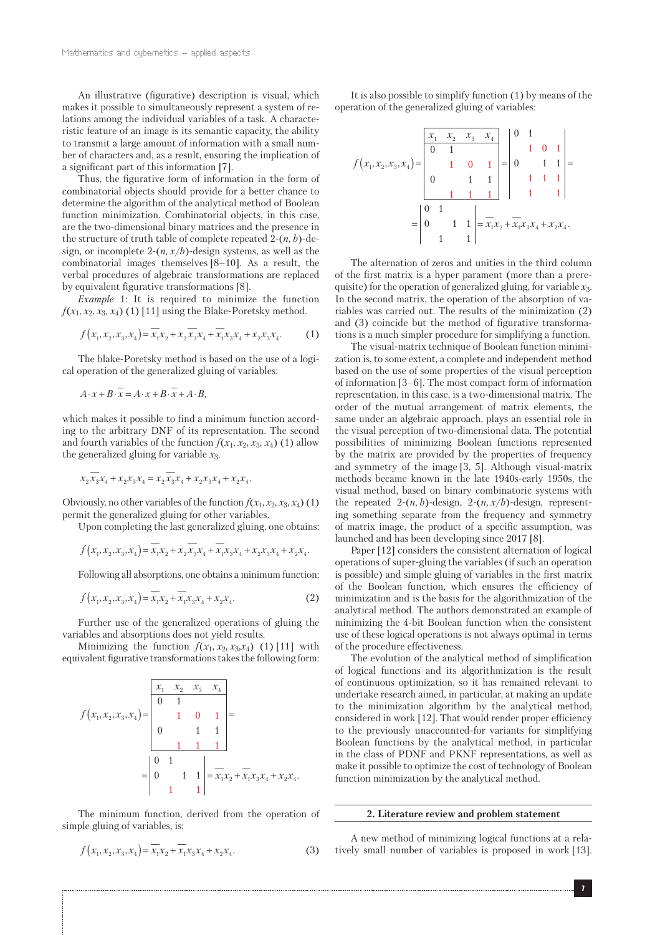An illustrative (figurative) description is visual, which makes it possible to simultaneously represent a system of relations among the individual variables of a task. A characteristic feature of an image is its semantic capacity, the ability to transmit a large amount of information with a small number of characters and, as a result, ensuring the implication of a significant part of this information [7].

Thus, the figurative form of information in the form of combinatorial objects should provide for a better chance to determine the algorithm of the analytical method of Boolean function minimization. Combinatorial objects, in this case, are the two-dimensional binary matrices and the presence in the structure of truth table of complete repeated 2-(*n*, *b*)-design, or incomplete  $2-(n, x/b)$ -design systems, as well as the combinatorial images themselves [8–10]. As a result, the verbal procedures of algebraic transformations are replaced by equivalent figurative transformations [8].

*Example* 1: It is required to minimize the function  $f(x_1, x_2, x_3, x_4)$  (1) [11] using the Blake-Poretsky method.

$$
f(x_1, x_2, x_3, x_4) = \overline{x_1 x_2} + x_2 \overline{x_3} x_4 + \overline{x_1} x_3 x_4 + x_2 x_3 x_4. \tag{1}
$$

The blake-Poretsky method is based on the use of a logical operation of the generalized gluing of variables:

$$
A \cdot x + B \cdot \overline{x} = A \cdot x + B \cdot \overline{x} + A \cdot B,
$$

which makes it possible to find a minimum function according to the arbitrary DNF of its representation. The second and fourth variables of the function  $f(x_1, x_2, x_3, x_4)$  (1) allow the generalized gluing for variable *x*3.

$$
x_2x_3x_4 + x_2x_3x_4 = x_2x_3x_4 + x_2x_3x_4 + x_2x_4.
$$

Obviously, no other variables of the function  $f(x_1, x_2, x_3, x_4)$  (1) permit the generalized gluing for other variables.

Upon completing the last generalized gluing, one obtains:

$$
f(x_1, x_2, x_3, x_4) = \overline{x_1}x_2 + x_2 \overline{x_3}x_4 + \overline{x_1}x_3x_4 + x_2x_3x_4 + x_2x_4.
$$

Following all absorptions, one obtains a minimum function:

$$
f(x_1, x_2, x_3, x_4) = \overline{x_1 x_2} + \overline{x_1} x_3 x_4 + x_2 x_4.
$$
 (2)

Further use of the generalized operations of gluing the variables and absorptions does not yield results.

Minimizing the function  $f(x_1, x_2, x_3, x_4)$  (1) [11] with equivalent figurative transformations takes the following form:

$$
f(x_1, x_2, x_3, x_4) = \begin{vmatrix} x_1 & x_2 & x_3 & x_4 \ 0 & 1 & & & \\ 0 & 1 & & & & \\ 0 & 0 & 1 & 1 & & \\ 0 & 1 & 1 & 1 & & \\ 0 & 1 & 1 & 1 & & \\ 0 & 1 & 1 & 1 & 1 \end{vmatrix} = \overline{x_1 x_2 + x_1 x_3 x_4 + x_2 x_4}.
$$

The minimum function, derived from the operation of simple gluing of variables, is:

$$
f(x_1, x_2, x_3, x_4) = x_1 x_2 + x_1 x_3 x_4 + x_2 x_4.
$$
 (3)

It is also possible to simplify function (1) by means of the operation of the generalized gluing of variables:

$$
f(x_1, x_2, x_3, x_4) = \begin{bmatrix} x_1 & x_2 & x_3 & x_4 \ 0 & 1 & & & \\ 0 & 1 & & & & \\ 0 & 0 & 1 & 1 & & \\ 0 & 0 & 1 & 1 & & 1 \\ 0 & 0 & 1 & 1 & & 1 \end{bmatrix} = \begin{bmatrix} 0 & 1 & & & \\ 0 & 1 & 0 & 1 & \\ 0 & 0 & 1 & 1 & \\ 1 & 1 & 1 & 1 & \\ 1 & 1 & 1 & 1 & \\ 1 & 1 & 1 & 1 & \\ 1 & 1 & 1 & 1 & \\ 1 & 1 & 1 & 1 & \\ 1 & 1 & 1 & 1 & \\ 1 & 1 & 1 & 1 & \\ 1 & 1 & 1 & 1 & \\ 1 & 1 & 1 & 1 & \\ 1 & 1 & 1 & 1 & \\ 1 & 1 & 1 & 1 & \\ 1 & 1 & 1 & 1 & \\ 1 & 1 & 1 & 1 & \\ 1 & 1 & 1 & 1 & \\ 1 & 1 & 1 & 1 & \\ 1 & 1 & 1 & 1 & \\ 1 & 1 & 1 & 1 & \\ 1 & 1 & 1 & 1 & \\ 1 & 1 & 1 & 1 & \\ 1 & 1 & 1 & 1 & \\ 1 & 1 & 1 & 1 & \\ 1 & 1 & 1 & 1 & \\ 1 & 1 & 1 & 1 & \\ 1 & 1 & 1 & 1 & \\ 1 & 1 & 1 & 1 & 1 \\ 1 & 1 & 1 & 1 & 1 \\ 1 & 1 & 1 & 1 & 1 & \\ 1 & 1 & 1 & 1 & 1 & \\ 1 & 1 & 1 & 1 & 1 & \\ 1 & 1 & 1 & 1 & 1 & \\ 1 & 1 & 1 & 1 & 1 & \\ 1 & 1 & 1 & 1 & 1 & \\ 1 & 1 & 1 & 1 & 1 & \\ 1 & 1 & 1 & 1 & 1 & \\ 1 & 1 & 1 & 1 & 1 & \\ 1 & 1 & 1 & 1 & 1 & \\ 1 & 1 & 1 & 1 & 1 & \\ 1 & 1 & 1 & 1 & 1 & \\ 1 & 1 & 1 & 1 & 1 & \\ 1 & 1 & 1 & 1 & 1 & \\ 1 & 1 & 1 & 1 & 1 & \\ 1 & 1 & 1 & 1 & 1 & \\ 1 & 1 & 1 &
$$

The alternation of zeros and unities in the third column of the first matrix is a hyper parament (more than a prerequisite) for the operation of generalized gluing, for variable *x*3. In the second matrix, the operation of the absorption of variables was carried out. The results of the minimization (2) and (3) coincide but the method of figurative transformations is a much simpler procedure for simplifying a function.

The visual-matrix technique of Boolean function minimization is, to some extent, a complete and independent method based on the use of some properties of the visual perception of information [3–6]. The most compact form of information representation, in this case, is a two-dimensional matrix. The order of the mutual arrangement of matrix elements, the same under an algebraic approach, plays an essential role in the visual perception of two-dimensional data. The potential possibilities of minimizing Boolean functions represented by the matrix are provided by the properties of frequency and symmetry of the image [3, 5]. Although visual-matrix methods became known in the late 1940s-early 1950s, the visual method, based on binary combinatoric systems with the repeated 2- $(n, b)$ -design, 2- $(n, x/b)$ -design, representing something separate from the frequency and symmetry of matrix image, the product of a specific assumption, was launched and has been developing since 2017 [8].

Paper [12] considers the consistent alternation of logical operations of super-gluing the variables (if such an operation is possible) and simple gluing of variables in the first matrix of the Boolean function, which ensures the efficiency of minimization and is the basis for the algorithmization of the analytical method. The authors demonstrated an example of minimizing the 4-bit Boolean function when the consistent use of these logical operations is not always optimal in terms of the procedure effectiveness.

The evolution of the analytical method of simplification of logical functions and its algorithmization is the result of continuous optimization, so it has remained relevant to undertake research aimed, in particular, at making an update to the minimization algorithm by the analytical method, considered in work [12]. That would render proper efficiency to the previously unaccounted-for variants for simplifying Boolean functions by the analytical method, in particular in the class of PDNF and PKNF representations, as well as make it possible to optimize the cost of technology of Boolean function minimization by the analytical method.

# **2. Literature review and problem statement**

A new method of minimizing logical functions at a relatively small number of variables is proposed in work [13].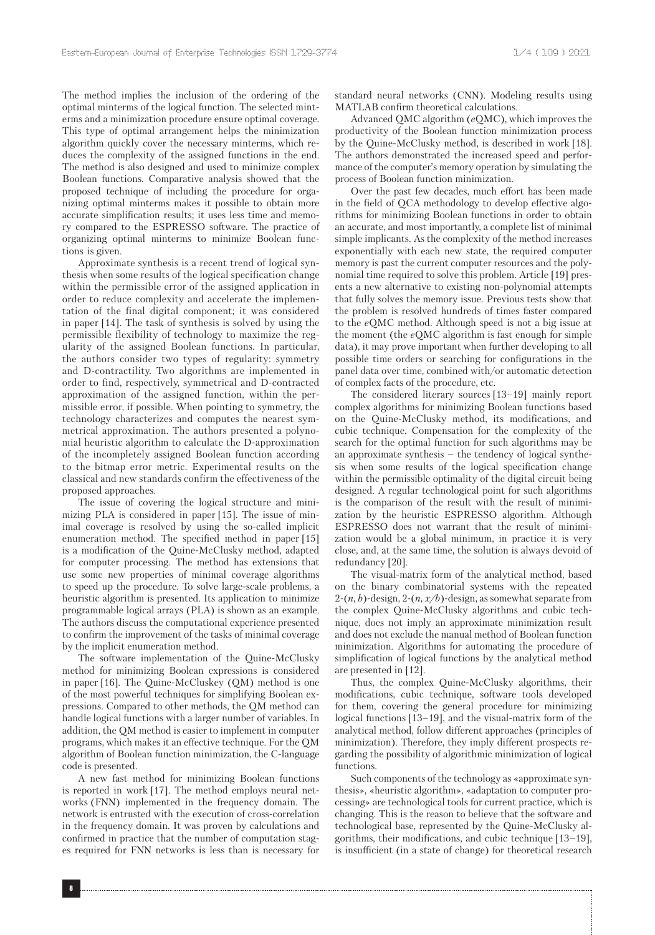The method implies the inclusion of the ordering of the optimal minterms of the logical function. The selected minterms and a minimization procedure ensure optimal coverage. This type of optimal arrangement helps the minimization algorithm quickly cover the necessary minterms, which reduces the complexity of the assigned functions in the end. The method is also designed and used to minimize complex Boolean functions. Comparative analysis showed that the proposed technique of including the procedure for organizing optimal minterms makes it possible to obtain more accurate simplification results; it uses less time and memory compared to the ESPRESSO software. The practice of organizing optimal minterms to minimize Boolean functions is given.

Approximate synthesis is a recent trend of logical synthesis when some results of the logical specification change within the permissible error of the assigned application in order to reduce complexity and accelerate the implementation of the final digital component; it was considered in paper [14]. The task of synthesis is solved by using the permissible flexibility of technology to maximize the regularity of the assigned Boolean functions. In particular, the authors consider two types of regularity: symmetry and D-contractility. Two algorithms are implemented in order to find, respectively, symmetrical and D-contracted approximation of the assigned function, within the permissible error, if possible. When pointing to symmetry, the technology characterizes and computes the nearest symmetrical approximation. The authors presented a polynomial heuristic algorithm to calculate the D-approximation of the incompletely assigned Boolean function according to the bitmap error metric. Experimental results on the classical and new standards confirm the effectiveness of the proposed approaches.

The issue of covering the logical structure and minimizing PLA is considered in paper [15]. The issue of minimal coverage is resolved by using the so-called implicit enumeration method. The specified method in paper [15] is a modification of the Quine-McClusky method, adapted for computer processing. The method has extensions that use some new properties of minimal coverage algorithms to speed up the procedure. To solve large-scale problems, a heuristic algorithm is presented. Its application to minimize programmable logical arrays (PLA) is shown as an example. The authors discuss the computational experience presented to confirm the improvement of the tasks of minimal coverage by the implicit enumeration method.

The software implementation of the Quine-McClusky method for minimizing Boolean expressions is considered in paper [16]. The Quine-McCluskey (QM) method is one of the most powerful techniques for simplifying Boolean expressions. Compared to other methods, the QM method can handle logical functions with a larger number of variables. In addition, the QM method is easier to implement in computer programs, which makes it an effective technique. For the QM algorithm of Boolean function minimization, the C-language code is presented.

A new fast method for minimizing Boolean functions is reported in work [17]. The method employs neural networks (FNN) implemented in the frequency domain. The network is entrusted with the execution of cross-correlation in the frequency domain. It was proven by calculations and confirmed in practice that the number of computation stages required for FNN networks is less than is necessary for standard neural networks (CNN). Modeling results using MATLAB confirm theoretical calculations.

Advanced QMC algorithm (*e*QMC), which improves the productivity of the Boolean function minimization process by the Quine-McClusky method, is described in work [18]. The authors demonstrated the increased speed and performance of the computer's memory operation by simulating the process of Boolean function minimization.

Over the past few decades, much effort has been made in the field of QCA methodology to develop effective algorithms for minimizing Boolean functions in order to obtain an accurate, and most importantly, a complete list of minimal simple implicants. As the complexity of the method increases exponentially with each new state, the required computer memory is past the current computer resources and the polynomial time required to solve this problem. Article [19] presents a new alternative to existing non-polynomial attempts that fully solves the memory issue. Previous tests show that the problem is resolved hundreds of times faster compared to the *e*QMC method. Although speed is not a big issue at the moment (the *e*QMC algorithm is fast enough for simple data), it may prove important when further developing to all possible time orders or searching for configurations in the panel data over time, combined with/or automatic detection of complex facts of the procedure, etc.

The considered literary sources [13–19] mainly report complex algorithms for minimizing Boolean functions based on the Quine-McClusky method, its modifications, and cubic technique. Compensation for the complexity of the search for the optimal function for such algorithms may be an approximate synthesis – the tendency of logical synthesis when some results of the logical specification change within the permissible optimality of the digital circuit being designed. A regular technological point for such algorithms is the comparison of the result with the result of minimization by the heuristic ESPRESSO algorithm. Although ESPRESSO does not warrant that the result of minimization would be a global minimum, in practice it is very close, and, at the same time, the solution is always devoid of redundancy [20].

The visual-matrix form of the analytical method, based on the binary combinatorial systems with the repeated 2-(*n*, *b*)-design, 2-(*n, x/b*)-design, as somewhat separate from the complex Quine-McClusky algorithms and cubic technique, does not imply an approximate minimization result and does not exclude the manual method of Boolean function minimization. Algorithms for automating the procedure of simplification of logical functions by the analytical method are presented in [12].

Thus, the complex Quine-McClusky algorithms, their modifications, cubic technique, software tools developed for them, covering the general procedure for minimizing logical functions [13–19], and the visual-matrix form of the analytical method, follow different approaches (principles of minimization). Therefore, they imply different prospects regarding the possibility of algorithmic minimization of logical functions.

Such components of the technology as «approximate synthesis», «heuristic algorithm», «adaptation to computer processing» are technological tools for current practice, which is changing. This is the reason to believe that the software and technological base, represented by the Quine-McClusky algorithms, their modifications, and cubic technique [13–19], is insufficient (in a state of change) for theoretical research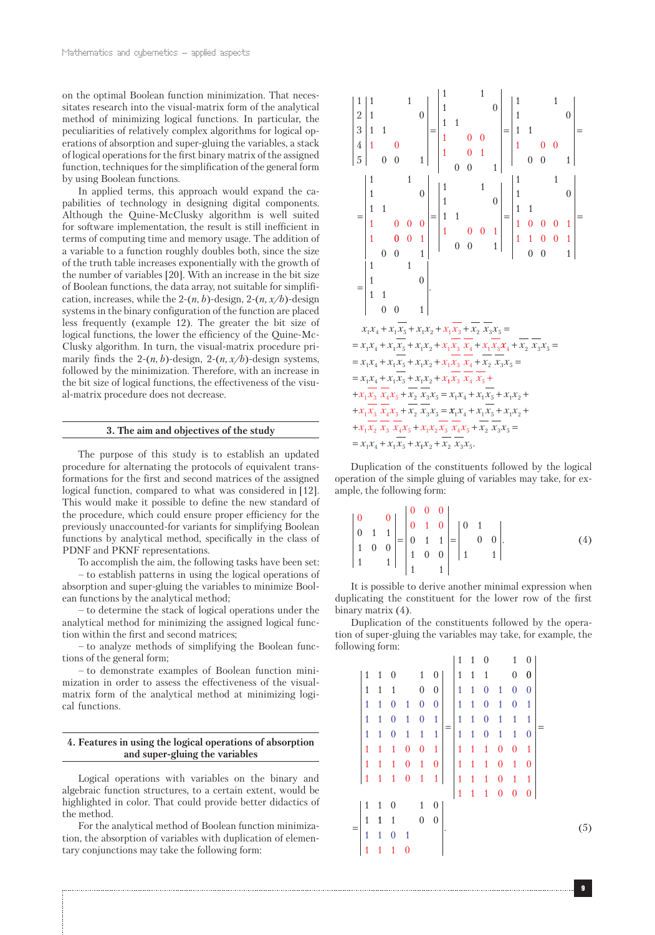on the optimal Boolean function minimization. That necessitates research into the visual-matrix form of the analytical method of minimizing logical functions. In particular, the peculiarities of relatively complex algorithms for logical operations of absorption and super-gluing the variables, a stack of logical operations for the first binary matrix of the assigned function, techniques for the simplification of the general form by using Boolean functions.

In applied terms, this approach would expand the capabilities of technology in designing digital components. Although the Quine-McClusky algorithm is well suited for software implementation, the result is still inefficient in terms of computing time and memory usage. The addition of a variable to a function roughly doubles both, since the size of the truth table increases exponentially with the growth of the number of variables [20]. With an increase in the bit size of Boolean functions, the data array, not suitable for simplification, increases, while the 2- $(n, b)$ -design, 2- $(n, x/b)$ -design systems in the binary configuration of the function are placed less frequently (example 12). The greater the bit size of logical functions, the lower the efficiency of the Quine-Mc-Clusky algorithm. In turn, the visual-matrix procedure primarily finds the  $2-(n, b)$ -design,  $2-(n, x/b)$ -design systems, followed by the minimization. Therefore, with an increase in the bit size of logical functions, the effectiveness of the visual-matrix procedure does not decrease.

### **3. The aim and objectives of the study**

The purpose of this study is to establish an updated procedure for alternating the protocols of equivalent transformations for the first and second matrices of the assigned logical function, compared to what was considered in [12]. This would make it possible to define the new standard of the procedure, which could ensure proper efficiency for the previously unaccounted-for variants for simplifying Boolean functions by analytical method, specifically in the class of PDNF and PKNF representations.

To accomplish the aim, the following tasks have been set:

– to establish patterns in using the logical operations of absorption and super-gluing the variables to minimize Boolean functions by the analytical method;

– to determine the stack of logical operations under the analytical method for minimizing the assigned logical function within the first and second matrices;

– to analyze methods of simplifying the Boolean functions of the general form;

– to demonstrate examples of Boolean function minimization in order to assess the effectiveness of the visualmatrix form of the analytical method at minimizing logical functions.

# **4. Features in using the logical operations of absorption and super-gluing the variables**

Logical operations with variables on the binary and algebraic function structures, to a certain extent, would be highlighted in color. That could provide better didactics of the method.

For the analytical method of Boolean function minimization, the absorption of variables with duplication of elementary conjunctions may take the following form:



Duplication of the constituents followed by the logical operation of the simple gluing of variables may take, for example, the following form:

$$
\begin{vmatrix} 0 & 0 \\ 0 & 1 & 1 \\ 1 & 0 & 0 \\ 1 & 1 & 1 \end{vmatrix} = \begin{vmatrix} 0 & 0 & 0 \\ 0 & 1 & 0 \\ 0 & 1 & 1 \\ 1 & 0 & 0 \\ 1 & 1 & 1 \end{vmatrix} = \begin{vmatrix} 0 & 1 \\ 0 & 0 \\ 1 & 1 \end{vmatrix}.
$$
 (4)

It is possible to derive another minimal expression when duplicating the constituent for the lower row of the first binary matrix (4).

Duplication of the constituents followed by the operation of super-gluing the variables may take, for example, the following form:

|                |              |                  |                  |                  |                |     | $\mathbf{1}$ | $\mathbf{1}$ | $\theta$         |                  | $\mathbf{1}$     | $\mathbf{0}$   |  |     |
|----------------|--------------|------------------|------------------|------------------|----------------|-----|--------------|--------------|------------------|------------------|------------------|----------------|--|-----|
| $\mathbf{1}$   | $\mathbf{1}$ | $\boldsymbol{0}$ |                  | $\mathbf{1}$     | 0 <sup>1</sup> |     | $\mathbf{1}$ | $\mathbf{1}$ | 1                |                  | $\boldsymbol{0}$ | $\bf{0}$       |  |     |
| $\mathbf{1}$   | $\mathbf{1}$ | $\mathbf{1}$     |                  | $\boldsymbol{0}$ | 0              |     | $\mathbf{1}$ | $\mathbf 1$  | $\boldsymbol{0}$ | $\mathbf{1}$     | $\boldsymbol{0}$ | $\overline{0}$ |  |     |
| $\overline{1}$ | $\mathbf{1}$ | $\bf{0}$         | $\mathbf{1}$     | $\boldsymbol{0}$ | $\mathbf{0}$   |     | $\mathbf{1}$ | $\mathbf{1}$ | $\boldsymbol{0}$ | $\mathbf{1}$     | $\boldsymbol{0}$ | $\mathbf{1}$   |  |     |
| $\mathbf{1}$   | $\mathbf{1}$ | $\boldsymbol{0}$ | $\mathbf{1}$     | $\boldsymbol{0}$ | $\mathbf{1}$   |     | $\mathbf{1}$ | $\mathbf{1}$ | $\mathbf{0}$     | $\mathbf{1}$     | $\mathbf{1}$     | $\mathbf{1}$   |  |     |
| $\mathbf{1}$   | $\mathbf{1}$ | $\boldsymbol{0}$ | $\mathbf{1}$     | $\mathbf{1}$     | $\mathbf{1}$   | $=$ | $\mathbf 1$  | $\mathbf{1}$ | $\mathbf{0}$     | $\mathbf{1}$     | $\mathbf{1}$     | $\mathbf{0}$   |  |     |
| $\mathbf{1}$   | $\mathbf{1}$ | $\mathbf{1}$     | $\boldsymbol{0}$ | $\bf{0}$         | 1              |     | $\mathbf{1}$ | $\mathbf{1}$ | $\mathbf{1}$     | $\bf{0}$         | $\bf{0}$         | $\mathbf{1}$   |  |     |
| $\mathbf{1}$   | $\mathbf{1}$ | $\mathbf{1}$     | $\boldsymbol{0}$ | $\mathbf{1}$     | $\bf{0}$       |     | $\mathbf{1}$ | $\mathbf{1}$ | $\mathbf{1}$     | $\boldsymbol{0}$ | $\mathbf{1}$     | $\bf{0}$       |  |     |
| $\mathbf{1}$   | $\mathbf{1}$ | $\mathbf{1}$     | $\bf{0}$         | $\mathbf{1}$     | $\mathbf{1}$   |     | $\mathbf{1}$ | $\mathbf{1}$ | $\mathbf{1}$     | $\bf{0}$         | $\mathbf{1}$     | $\mathbf{1}$   |  |     |
|                |              |                  |                  |                  |                |     | $\mathbf{1}$ | $\mathbf{1}$ | $\mathbf{1}$     | $\boldsymbol{0}$ | $\boldsymbol{0}$ | $\overline{0}$ |  |     |
| $\mathbf{1}$   | $\mathbf{1}$ | $\theta$         |                  | 1                | 0              |     |              |              |                  |                  |                  |                |  |     |
| $\mathbf{1}$   | $\mathbf{1}$ | 1                |                  | $\boldsymbol{0}$ | 0              |     |              |              |                  |                  |                  |                |  |     |
| $\mathbf{1}$   | $\mathbf{1}$ | $\boldsymbol{0}$ | $\mathbf 1$      |                  |                |     |              |              |                  |                  |                  |                |  | (5) |
| 1              | 1            | 1                | 0                |                  |                |     |              |              |                  |                  |                  |                |  |     |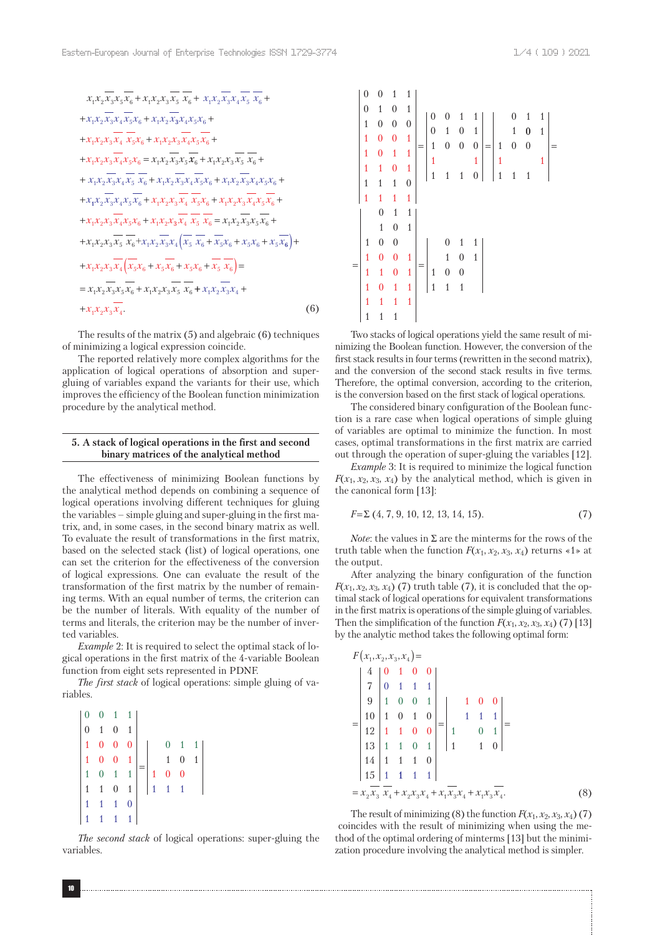$$
x_{1}x_{2}\overline{x_{3}}x_{5}\overline{x_{6}} + x_{1}x_{2}x_{3}\overline{x_{5}}\overline{x_{6}} + x_{1}x_{2}\overline{x_{3}}x_{4}\overline{x_{5}}\overline{x_{6}} +
$$
  
+ $x_{1}x_{2}\overline{x_{3}}x_{4}\overline{x_{5}}x_{6} + x_{1}x_{2}\overline{x_{3}}x_{4}x_{5}x_{6} +$   
+ $x_{1}x_{2}x_{3}\overline{x_{4}}\overline{x_{5}}x_{6} + x_{1}x_{2}\overline{x_{3}}x_{4}\overline{x_{5}}x_{6} +$   
+ $x_{1}x_{2}x_{3}\overline{x_{4}}x_{5}x_{6} + x_{1}x_{2}x_{3}\overline{x_{4}}x_{5}\overline{x_{6}} +$   
+ $x_{1}x_{2}x_{3}\overline{x_{4}}x_{5}x_{6} = x_{1}x_{2}\overline{x_{3}}x_{3}\overline{x_{4}}\overline{x_{5}}x_{6} + x_{1}x_{2}x_{3}\overline{x_{4}}\overline{x_{5}}x_{6} +$   
+ $x_{1}x_{2}\overline{x_{3}}x_{4}\overline{x_{5}}\overline{x_{6}} + x_{1}x_{2}\overline{x_{3}}x_{4}\overline{x_{5}}x_{6} + x_{1}x_{2}\overline{x_{3}}x_{4}x_{5}x_{6} +$   
+ $x_{1}x_{2}\overline{x_{3}}x_{4}x_{5}\overline{x_{6}} + x_{1}x_{2}x_{3}\overline{x_{4}}\overline{x_{5}}x_{6} + x_{1}x_{2}x_{3}\overline{x_{4}}x_{5}\overline{x_{6}} +$   
+ $x_{1}x_{2}x_{3}\overline{x_{4}}x_{5}x_{6} + x_{1}x_{2}x_{3}\overline{x_{4}}\overline{x_{5}}\overline{x_{6}} = x_{1}x_{2}\overline{x_{3}}x_{3}\overline{x_{6}} +$   
+ $x_{1}x_{2}x_{3}\overline{x_{5}}\overline{x_{6}} + x_{1}x_{2}\overline{x_{3}}x_{4}\overline{x_{5}}\overline{x_{6}} + x_{5}x_{6} + x_{5}x_{6} + x_{5}x_{6} + x_{5}x_{6}$ <

The results of the matrix (5) and algebraic (6) techniques of minimizing a logical expression coincide.

The reported relatively more complex algorithms for the application of logical operations of absorption and supergluing of variables expand the variants for their use, which improves the efficiency of the Boolean function minimization procedure by the analytical method.

# **5. A stack of logical operations in the first and second binary matrices of the analytical method**

The effectiveness of minimizing Boolean functions by the analytical method depends on combining a sequence of logical operations involving different techniques for gluing the variables – simple gluing and super-gluing in the first matrix, and, in some cases, in the second binary matrix as well. To evaluate the result of transformations in the first matrix, based on the selected stack (list) of logical operations, one can set the criterion for the effectiveness of the conversion of logical expressions. One can evaluate the result of the transformation of the first matrix by the number of remaining terms. With an equal number of terms, the criterion can be the number of literals. With equality of the number of terms and literals, the criterion may be the number of inverted variables.

*Example* 2: It is required to select the optimal stack of logical operations in the first matrix of the 4-variable Boolean function from eight sets represented in PDNF.

*The first stack* of logical operations: simple gluing of variables.

|  | $\begin{array}{ccc ccc}\n0 & 0 & 1 & 1 \\ 0 & 1 & 0 & 1\n\end{array}$                                |              |                |              |             |                  |                |
|--|------------------------------------------------------------------------------------------------------|--------------|----------------|--------------|-------------|------------------|----------------|
|  |                                                                                                      |              |                |              |             | $0 \quad 1$      | $\overline{1}$ |
|  | $\begin{array}{cccccc} 1 & 0 & 0 & 0 \\ 1 & 0 & 0 & 1 \\ 1 & 0 & 1 & 1 \\ 1 & 1 & 0 & 1 \end{array}$ |              |                |              | $\,1\,$     | $\boldsymbol{0}$ | $\overline{1}$ |
|  |                                                                                                      |              | $\overline{1}$ |              | $0 \quad 0$ |                  |                |
|  |                                                                                                      |              |                | $\mathbf{1}$ |             | $\overline{1}$   |                |
|  | $1 \quad 1$                                                                                          | $\mathbf{1}$ | $\overline{0}$ |              |             |                  |                |
|  | $\mathbf{1}$                                                                                         |              |                |              |             |                  |                |

*The second stack* of logical operations: super-gluing the variables.

$$
\begin{vmatrix}\n0 & 0 & 1 & 1 \\
0 & 1 & 0 & 1 \\
1 & 0 & 0 & 0 \\
1 & 0 & 1 & 1 \\
1 & 0 & 1 & 1 \\
1 & 1 & 0 & 1 \\
1 & 1 & 1 & 0\n\end{vmatrix} = \begin{vmatrix}\n0 & 0 & 1 & 1 \\
0 & 1 & 0 & 1 \\
1 & 0 & 0 & 0 \\
1 & 1 & 1 & 1 \\
1 & 1 & 1 & 0\n\end{vmatrix} = \begin{vmatrix}\n0 & 1 & 1 \\
1 & 0 & 1 \\
1 & 0 & 0 \\
1 & 1 & 1 \\
1 & 1 & 1\n\end{vmatrix} = \begin{vmatrix}\n0 & 1 & 1 \\
1 & 0 & 0 \\
1 & 1 & 1 \\
1 & 1 & 1\n\end{vmatrix} = \begin{vmatrix}\n0 & 1 & 1 \\
1 & 0 & 1 \\
1 & 0 & 1 \\
1 & 1 & 1\n\end{vmatrix}
$$

Two stacks of logical operations yield the same result of minimizing the Boolean function. However, the conversion of the first stack results in four terms (rewritten in the second matrix), and the conversion of the second stack results in five terms. Therefore, the optimal conversion, according to the criterion, is the conversion based on the first stack of logical operations.

The considered binary configuration of the Boolean function is a rare case when logical operations of simple gluing of variables are optimal to minimize the function. In most cases, optimal transformations in the first matrix are carried out through the operation of super-gluing the variables [12].

*Example* 3: It is required to minimize the logical function  $F(x_1, x_2, x_3, x_4)$  by the analytical method, which is given in the canonical form [13]:

$$
F = \Sigma (4, 7, 9, 10, 12, 13, 14, 15). \tag{7}
$$

*Note*: the values in  $\Sigma$  are the minterms for the rows of the truth table when the function  $F(x_1, x_2, x_3, x_4)$  returns  $\le 1$  at the output.

After analyzing the binary configuration of the function  $F(x_1, x_2, x_3, x_4)$  (7) truth table (7), it is concluded that the optimal stack of logical operations for equivalent transformations in the first matrix is operations of the simple gluing of variables. Then the simplification of the function  $F(x_1, x_2, x_3, x_4)$  (7) [13] by the analytic method takes the following optimal form:

$$
F(x_1, x_2, x_3, x_4) =
$$
\n
$$
\begin{vmatrix}\n4 & 0 & 1 & 0 & 0 \\
7 & 0 & 1 & 1 & 1 \\
9 & 1 & 0 & 0 & 1 \\
10 & 1 & 0 & 1 & 0 \\
12 & 1 & 1 & 0 & 0 \\
13 & 1 & 1 & 0 & 1 \\
14 & 1 & 1 & 1 & 0 \\
15 & 1 & 1 & 1 & 1\n\end{vmatrix} = \begin{vmatrix}\n1 & 0 & 0 \\
1 & 1 & 1 \\
1 & 0 & 1 \\
1 & 1 & 1 & 0 \\
1 & 1 & 1 & 0\n\end{vmatrix} =
$$
\n
$$
= x_2 \overline{x_3} \overline{x_4} + x_2 x_3 x_4 + x_1 \overline{x_3} x_4 + x_1 \overline{x_3} x_4
$$
\n(8)

The result of minimizing (8) the function  $F(x_1, x_2, x_3, x_4)$  (7) coincides with the result of minimizing when using the method of the optimal ordering of minterms [13] but the minimization procedure involving the analytical method is simpler.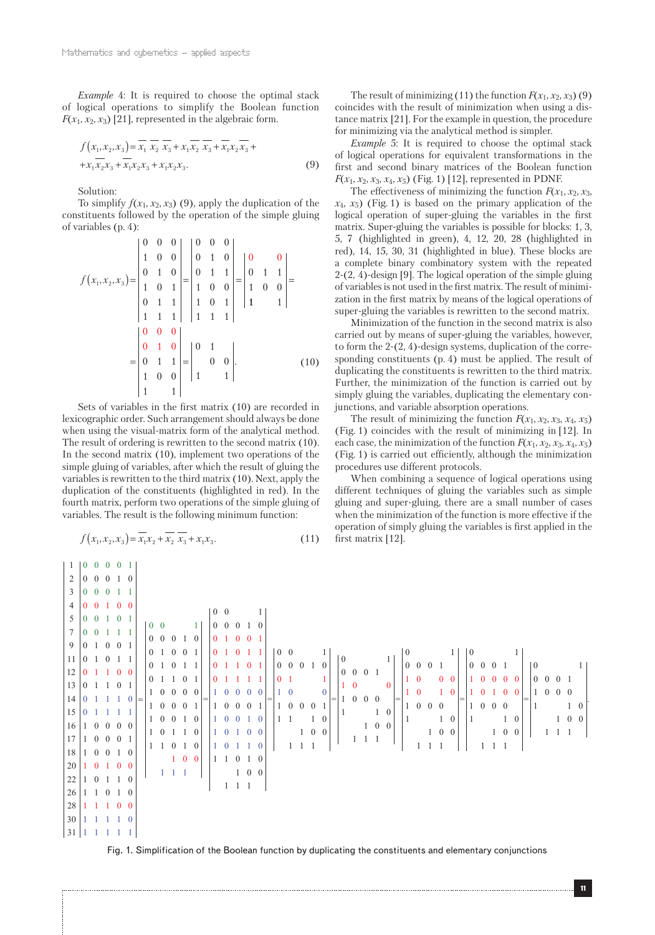*Example* 4: It is required to choose the optimal stack of logical operations to simplify the Boolean function  $F(x_1, x_2, x_3)$  [21], represented in the algebraic form.

$$
f(x_1, x_2, x_3) = \overline{x_1} \overline{x_2} \overline{x_3} + x_1 \overline{x_2} \overline{x_3} + \overline{x_1} x_2 \overline{x_3} + + x_1 \overline{x_2} x_3 + \overline{x_1} x_2 x_3 + x_1 x_2 x_3.
$$
 (9)

Solution:

To simplify  $f(x_1, x_2, x_3)$  (9), apply the duplication of the constituents followed by the operation of the simple gluing of variables (p. 4):

$$
f(x_1, x_2, x_3) = \begin{vmatrix} 0 & 0 & 0 & 0 \\ 1 & 0 & 0 & 0 \\ 0 & 1 & 0 & 0 \\ 1 & 0 & 1 & 0 \\ 0 & 1 & 1 & 1 \\ 1 & 1 & 1 & 1 \end{vmatrix} = \begin{vmatrix} 0 & 0 & 0 \\ 0 & 1 & 0 \\ 1 & 0 & 0 \\ 1 & 0 & 1 \\ 1 & 1 & 1 \end{vmatrix} = \begin{vmatrix} 0 & 0 \\ 0 & 1 & 1 \\ 1 & 0 & 0 \\ 1 & 1 & 1 \end{vmatrix} = \begin{vmatrix} 0 & 0 & 0 \\ 0 & 1 & 1 \\ 1 & 0 & 1 \\ 1 & 1 & 1 \end{vmatrix}
$$

$$
= \begin{vmatrix} 0 & 0 & 0 \\ 0 & 1 & 1 \\ 1 & 0 & 0 \\ 1 & 0 & 0 \\ 1 & 1 & 1 \end{vmatrix} = \begin{vmatrix} 0 & 1 & 0 \\ 0 & 0 & 1 \\ 1 & 1 & 1 \end{vmatrix}.
$$
(10)

Sets of variables in the first matrix (10) are recorded in lexicographic order. Such arrangement should always be done when using the visual-matrix form of the analytical method. The result of ordering is rewritten to the second matrix (10). In the second matrix (10), implement two operations of the simple gluing of variables, after which the result of gluing the variables is rewritten to the third matrix (10). Next, apply the duplication of the constituents (highlighted in red). In the fourth matrix, perform two operations of the simple gluing of variables. The result is the following minimum function:

$$
f(x_1, x_2, x_3) = \overline{x_1 x_2} + \overline{x_2} \overline{x_3} + x_1 x_3.
$$
 (11)

The result of minimizing (11) the function  $F(x_1, x_2, x_3)$  (9) coincides with the result of minimization when using a distance matrix [21]. For the example in question, the procedure for minimizing via the analytical method is simpler.

*Example* 5: It is required to choose the optimal stack of logical operations for equivalent transformations in the first and second binary matrices of the Boolean function *F*( $x_1, x_2, x_3, x_4, x_5$ ) (Fig. 1) [12], represented in PDNF.

The effectiveness of minimizing the function  $F(x_1, x_2, x_3)$ ,  $x_4, x_5$ ) (Fig. 1) is based on the primary application of the logical operation of super-gluing the variables in the first matrix. Super-gluing the variables is possible for blocks: 1, 3, 5, 7 (highlighted in green), 4, 12, 20, 28 (highlighted in red), 14, 15, 30, 31 (highlighted in blue). These blocks are a complete binary combinatory system with the repeated 2-(2, 4)-design [9]. The logical operation of the simple gluing of variables is not used in the first matrix. The result of minimization in the first matrix by means of the logical operations of super-gluing the variables is rewritten to the second matrix.

Minimization of the function in the second matrix is also carried out by means of super-gluing the variables, however, to form the 2-(2, 4)-design systems, duplication of the corresponding constituents (p. 4) must be applied. The result of duplicating the constituents is rewritten to the third matrix. Further, the minimization of the function is carried out by simply gluing the variables, duplicating the elementary conjunctions, and variable absorption operations.

The result of minimizing the function  $F(x_1, x_2, x_3, x_4, x_5)$ (Fig. 1) coincides with the result of minimizing in [12]. In each case, the minimization of the function  $F(x_1, x_2, x_3, x_4, x_5)$ (Fig. 1) is carried out efficiently, although the minimization procedures use different protocols.

When combining a sequence of logical operations using different techniques of gluing the variables such as simple gluing and super-gluing, there are a small number of cases when the minimization of the function is more effective if the operation of simply gluing the variables is first applied in the first matrix [12].

|                                                      |  | 1   0 0 0 0 1           |  |  |  |  |  |  |  |  |  |  |  |  |  |  |  |  |  |  |  |  |  |  |
|------------------------------------------------------|--|-------------------------|--|--|--|--|--|--|--|--|--|--|--|--|--|--|--|--|--|--|--|--|--|--|
|                                                      |  | 2   0 0 0 1 0           |  |  |  |  |  |  |  |  |  |  |  |  |  |  |  |  |  |  |  |  |  |  |
|                                                      |  | $3 \ 0 \ 0 \ 0 \ 1 \ 1$ |  |  |  |  |  |  |  |  |  |  |  |  |  |  |  |  |  |  |  |  |  |  |
| $4\ 0\ 0\ 1\ 0\ 0$                                   |  |                         |  |  |  |  |  |  |  |  |  |  |  |  |  |  |  |  |  |  |  |  |  |  |
|                                                      |  |                         |  |  |  |  |  |  |  |  |  |  |  |  |  |  |  |  |  |  |  |  |  |  |
|                                                      |  |                         |  |  |  |  |  |  |  |  |  |  |  |  |  |  |  |  |  |  |  |  |  |  |
|                                                      |  |                         |  |  |  |  |  |  |  |  |  |  |  |  |  |  |  |  |  |  |  |  |  |  |
|                                                      |  |                         |  |  |  |  |  |  |  |  |  |  |  |  |  |  |  |  |  |  |  |  |  |  |
|                                                      |  |                         |  |  |  |  |  |  |  |  |  |  |  |  |  |  |  |  |  |  |  |  |  |  |
|                                                      |  |                         |  |  |  |  |  |  |  |  |  |  |  |  |  |  |  |  |  |  |  |  |  |  |
|                                                      |  |                         |  |  |  |  |  |  |  |  |  |  |  |  |  |  |  |  |  |  |  |  |  |  |
|                                                      |  |                         |  |  |  |  |  |  |  |  |  |  |  |  |  |  |  |  |  |  |  |  |  |  |
|                                                      |  |                         |  |  |  |  |  |  |  |  |  |  |  |  |  |  |  |  |  |  |  |  |  |  |
|                                                      |  |                         |  |  |  |  |  |  |  |  |  |  |  |  |  |  |  |  |  |  |  |  |  |  |
|                                                      |  |                         |  |  |  |  |  |  |  |  |  |  |  |  |  |  |  |  |  |  |  |  |  |  |
|                                                      |  |                         |  |  |  |  |  |  |  |  |  |  |  |  |  |  |  |  |  |  |  |  |  |  |
|                                                      |  |                         |  |  |  |  |  |  |  |  |  |  |  |  |  |  |  |  |  |  |  |  |  |  |
| $26 \begin{vmatrix} 1 & 1 & 0 & 1 & 0 \end{vmatrix}$ |  |                         |  |  |  |  |  |  |  |  |  |  |  |  |  |  |  |  |  |  |  |  |  |  |
| $28$ 1 1 1 0 0                                       |  |                         |  |  |  |  |  |  |  |  |  |  |  |  |  |  |  |  |  |  |  |  |  |  |
| $30 \mid 1 \mid 1 \mid 1 \mid 0$                     |  |                         |  |  |  |  |  |  |  |  |  |  |  |  |  |  |  |  |  |  |  |  |  |  |
| $31 \mid 1 \mid 1 \mid 1 \mid 1 \mid$                |  |                         |  |  |  |  |  |  |  |  |  |  |  |  |  |  |  |  |  |  |  |  |  |  |

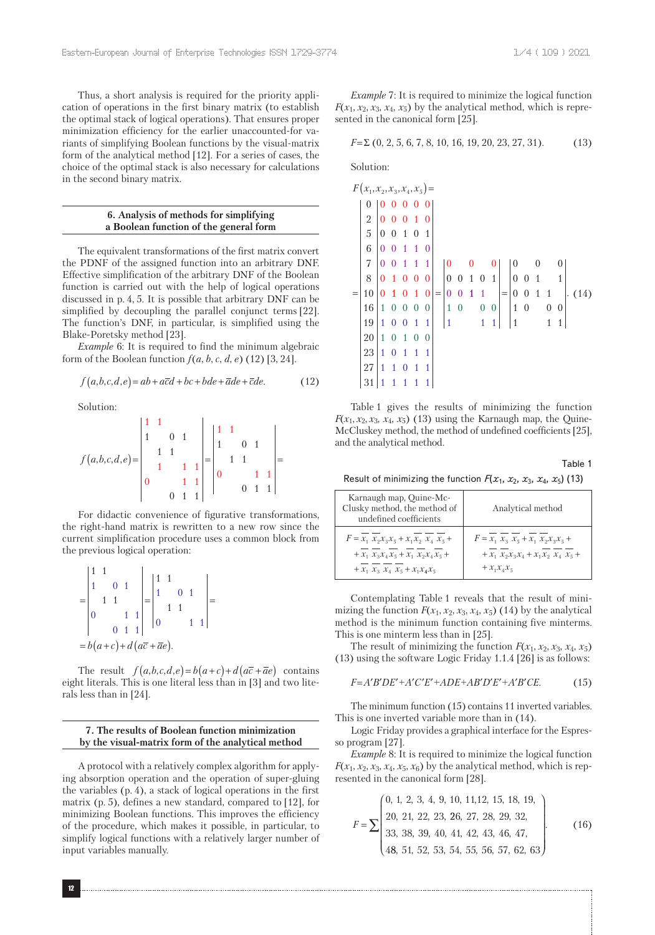Thus, a short analysis is required for the priority application of operations in the first binary matrix (to establish the optimal stack of logical operations). That ensures proper minimization efficiency for the earlier unaccounted-for variants of simplifying Boolean functions by the visual-matrix form of the analytical method [12]. For a series of cases, the choice of the optimal stack is also necessary for calculations in the second binary matrix.

## **6. Analysis of methods for simplifying a Boolean function of the general form**

The equivalent transformations of the first matrix convert the PDNF of the assigned function into an arbitrary DNF. Effective simplification of the arbitrary DNF of the Boolean function is carried out with the help of logical operations discussed in p. 4, 5. It is possible that arbitrary DNF can be simplified by decoupling the parallel conjunct terms [22]. The function's DNF, in particular, is simplified using the Blake-Poretsky method [23].

*Example* 6: It is required to find the minimum algebraic form of the Boolean function  $f(a, b, c, d, e)$  (12) [3, 24].

$$
f(a,b,c,d,e) = ab + a\overline{c}d + bc + bde + \overline{a}de + \overline{c}de.
$$
 (12)

Solution:

$$
f(a,b,c,d,e) = \begin{vmatrix} 1 & 1 & 1 \\ 1 & 0 & 1 \\ 1 & 1 & 1 \\ 1 & 1 & 1 \\ 0 & 1 & 1 \\ 0 & 1 & 1 \end{vmatrix} = \begin{vmatrix} 1 & 1 & 1 \\ 1 & 0 & 1 \\ 1 & 1 & 1 \\ 0 & 1 & 1 \\ 0 & 1 & 1 \end{vmatrix} =
$$

For didactic convenience of figurative transformations, the right-hand matrix is rewritten to a new row since the current simplification procedure uses a common block from the previous logical operation:

|  | $1\quad1$                                             |  |                                            | $\mathbf{1}$ |  |  |  |
|--|-------------------------------------------------------|--|--------------------------------------------|--------------|--|--|--|
|  |                                                       |  |                                            |              |  |  |  |
|  | $\begin{array}{c c} & 1 & 1 \\ 0 & 1 & 1 \end{array}$ |  |                                            |              |  |  |  |
|  |                                                       |  | $= b(a+c)+d(a\overline{c}+\overline{a}e).$ |              |  |  |  |

The result  $f(a,b,c,d,e) = b(a+c) + d(a\overline{c} + \overline{a}e)$  contains eight literals. This is one literal less than in [3] and two literals less than in [24].

## **7. The results of Boolean function minimization by the visual-matrix form of the analytical method**

A protocol with a relatively complex algorithm for applying absorption operation and the operation of super-gluing the variables (p. 4), a stack of logical operations in the first matrix (p. 5), defines a new standard, compared to [12], for minimizing Boolean functions. This improves the efficiency of the procedure, which makes it possible, in particular, to simplify logical functions with a relatively larger number of input variables manually.

*Example* 7: It is required to minimize the logical function  $F(x_1, x_2, x_3, x_4, x_5)$  by the analytical method, which is represented in the canonical form [25].

$$
F = \Sigma (0, 2, 5, 6, 7, 8, 10, 16, 19, 20, 23, 27, 31). \tag{13}
$$

Solution:

|     | $F(x_1, x_2, x_3, x_4, x_5) =$ |                                       |                  |                  |                  |                |       |                  |                  |              |                  |                         |                                       |                  |                |                  |                |      |  |
|-----|--------------------------------|---------------------------------------|------------------|------------------|------------------|----------------|-------|------------------|------------------|--------------|------------------|-------------------------|---------------------------------------|------------------|----------------|------------------|----------------|------|--|
|     |                                |                                       |                  |                  |                  |                |       |                  |                  |              |                  |                         |                                       |                  |                |                  |                |      |  |
|     | $\frac{2}{5}$                  | $\theta$                              |                  | $\boldsymbol{0}$ | 1                |                |       |                  |                  |              |                  |                         |                                       |                  |                |                  |                |      |  |
|     |                                | $\vert 0 \vert$                       | $\boldsymbol{0}$ | $\mathbf{1}$     | $\overline{0}$   | 1              |       |                  |                  |              |                  |                         |                                       |                  |                |                  |                |      |  |
|     | $\overline{6}$                 | $\overline{0}$                        |                  | $\overline{1}$   | $\overline{1}$   | $\theta$       |       |                  |                  |              |                  |                         |                                       |                  |                |                  |                |      |  |
|     | $\overline{7}$                 | $\vert 0 \vert$                       | $\bf{0}$         | $1\quad1$        |                  | $\mathbf{1}$   |       | $\boldsymbol{0}$ |                  |              |                  |                         |                                       |                  |                |                  |                |      |  |
|     | 8                              | $\overline{0}$                        | 1                | $\boldsymbol{0}$ |                  | $\overline{0}$ |       | $\vert 0$        | $\boldsymbol{0}$ | $1\quad0$    |                  | $\overline{1}$          |                                       | $\boldsymbol{0}$ | $\overline{1}$ |                  | $\mathbf{1}$   |      |  |
| $=$ | 10                             | $\overline{0}$                        |                  |                  | $\mathbf{1}$     | 0              | $= 0$ |                  | $\boldsymbol{0}$ | $\mathbf{1}$ | $\overline{1}$   |                         |                                       | $= 0 0 1$        |                | $\overline{1}$   |                | (14) |  |
|     | 16                             | $\begin{pmatrix} 1 & 0 \end{pmatrix}$ |                  | $\bf{0}$         | $\boldsymbol{0}$ | $\mathbf{0}$   |       | $1\ 0$           |                  |              | $\boldsymbol{0}$ | $\overline{\mathbf{0}}$ | $\begin{vmatrix} 1 & 0 \end{vmatrix}$ |                  |                | $\boldsymbol{0}$ | $\overline{0}$ |      |  |
|     | 19                             | $\mathbf 1$                           | $\boldsymbol{0}$ | $\bf{0}$         | $\overline{1}$   | $\mathbf{1}$   |       | $\overline{1}$   |                  |              | $\overline{1}$   |                         |                                       |                  |                |                  | 1              |      |  |
|     | 20                             | $\mathbf{1}$                          | $\bf{0}$         | $\mathbf{1}$     | $\overline{0}$   | $\overline{0}$ |       |                  |                  |              |                  |                         |                                       |                  |                |                  |                |      |  |
|     | 23                             | $\mathbf{1}$                          | $\boldsymbol{0}$ | $\overline{1}$   | $\mathbf{1}$     | $\mathbf{1}$   |       |                  |                  |              |                  |                         |                                       |                  |                |                  |                |      |  |
|     | 27                             | $\mathbf{1}$                          | 1                | $\bf{0}$         | 1                | $\mathbf{1}$   |       |                  |                  |              |                  |                         |                                       |                  |                |                  |                |      |  |
|     | 31                             |                                       | $\mathbf 1$      | $\mathbf{1}$     | $\mathbf{1}$     |                |       |                  |                  |              |                  |                         |                                       |                  |                |                  |                |      |  |

Table 1 gives the results of minimizing the function *F*( $x_1$ ,  $x_2$ ,  $x_3$ ,  $x_4$ ,  $x_5$ ) (13) using the Karnaugh map, the Quine-McCluskey method, the method of undefined coefficients [25], and the analytical method.

Table 1

Result of minimizing the function  $F(x_1, x_2, x_3, x_4, x_5)$  (13)

| Karnaugh map, Quine-Mc-<br>Clusky method, the method of<br>undefined coefficients | Analytical method                       |
|-----------------------------------------------------------------------------------|-----------------------------------------|
| $F = x_1 x_2 x_3 x_5 + x_1 x_2 x_4 x_5 +$                                         | $F = x_1 x_3 x_5 + x_1 x_2 x_3 x_5 +$   |
| $+ x_1 x_2 x_3 x_4 x_5 + x_1 x_2 x_4 x_5 +$                                       | $+ x_1 x_2 x_3 x_4 + x_1 x_2 x_4 x_5 +$ |
| $+ x_1 x_2 x_3 x_4 x_5 + x_1 x_4 x_5$                                             | $+ x_1 x_2 x_5$                         |

Contemplating Table 1 reveals that the result of minimizing the function  $F(x_1, x_2, x_3, x_4, x_5)$  (14) by the analytical method is the minimum function containing five minterms. This is one minterm less than in [25].

The result of minimizing the function  $F(x_1, x_2, x_3, x_4, x_5)$ (13) using the software Logic Friday 1.1.4 [26] is as follows:

$$
F = A'B'DE' + A'C'E' + ADE + AB'D'E' + A'B'CE.
$$
 (15)

The minimum function (15) contains 11 inverted variables. This is one inverted variable more than in (14).

Logic Friday provides a graphical interface for the Espresso program [27].

*Example* 8: It is required to minimize the logical function  $F(x_1, x_2, x_3, x_4, x_5, x_6)$  by the analytical method, which is represented in the canonical form [28].

$$
F = \sum \begin{pmatrix} 0, 1, 2, 3, 4, 9, 10, 11, 12, 15, 18, 19, \\ 20, 21, 22, 23, 26, 27, 28, 29, 32, \\ 33, 38, 39, 40, 41, 42, 43, 46, 47, \\ 48, 51, 52, 53, 54, 55, 56, 57, 62, 63 \end{pmatrix}.
$$
 (16)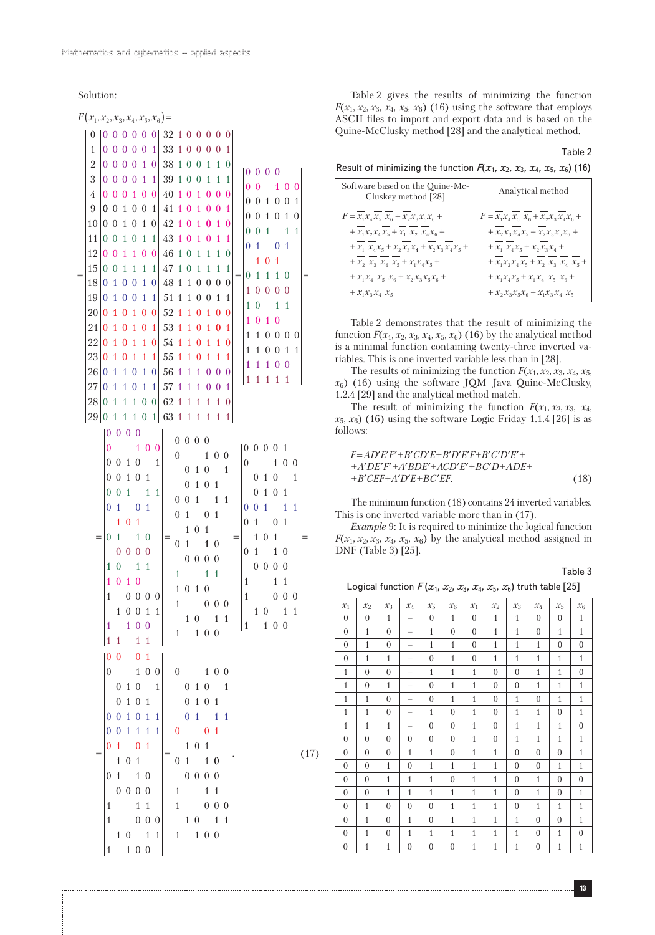Solution:

=

=

=

 $(17)$ 

1 1 0 0

Table 2 gives the results of minimizing the function *F*( $x_1$ ,  $x_2$ ,  $x_3$ ,  $x_4$ ,  $x_5$ ,  $x_6$ ) (16) using the software that employs ASCII files to import and export data and is based on the Quine-McClusky method [28] and the analytical method.

Table 2 Result of minimizing the function  $F(x_1, x_2, x_3, x_4, x_5, x_6)$  (16)

| Software based on the Quine-Mc-<br>Cluskey method [28]                                                                                                                                                                                                      | Analytical method                                                                                                     |
|-------------------------------------------------------------------------------------------------------------------------------------------------------------------------------------------------------------------------------------------------------------|-----------------------------------------------------------------------------------------------------------------------|
| $F = x_1 x_4 x_5 \ x_6 + x_2 x_3 x_5 x_6 +$<br>$\,+\,x_1 x_2 x_4\,x_5 + x_1\,\,x_2\,\,x_4 x_6\,+$<br>$\,+\,x_{{}_{\, 1}}\, \, x_{{}_{\, 4}}x_{{}_{\, 5}} + x_{{}_{\, 2}}x_{{}_{\, 3}}x_{{}_{\, 4}} + x_{{}_{\, 2}}x_{{}_{\, 3}}x_{{}_{\, 4}}x_{{}_{\, 5}}+$ | $F = x_1 x_4 x_5 x_6 + x_2 x_3 x_4 x_6 +$<br>$\,+\,x_2x_3\,x_4x_5 + x_2x_3x_5x_6 +$<br>+ $x_1$ $x_4x_5 + x_2x_3x_4 +$ |
| + $x_2$ $x_3$ $x_4$ $x_5$ + $x_1x_4x_5$ +                                                                                                                                                                                                                   | + $x_1x_2x_4x_5 + x_2 x_3 x_4 x_5 +$                                                                                  |
| + $x_1x_4$ $x_5$ $x_6$ + $x_2x_3x_5x_6$ +<br>$+ x_1 x_3 x_4 x_5$                                                                                                                                                                                            | + $x_1x_4x_5 + x_1x_4x_5$ $x_5$ $x_6$ +<br>$+ x_2 x_3 x_5 x_6 + x_1 x_3 x_4 x_5$                                      |
|                                                                                                                                                                                                                                                             |                                                                                                                       |

Table 2 demonstrates that the result of minimizing the function  $F(x_1, x_2, x_3, x_4, x_5, x_6)$  (16) by the analytical method is a minimal function containing twenty-three inverted variables. This is one inverted variable less than in [28].

The results of minimizing the function  $F(x_1, x_2, x_3, x_4, x_5)$  $x_6$ ) (16) using the software JQM–Java Quine-McClusky, 1.2.4 [29] and the analytical method match.

The result of minimizing the function  $F(x_1, x_2, x_3, x_4, x_5)$ *x*5, *x*6) (16) using the software Logic Friday 1.1.4 [26] is as follows:

$$
F=A D'E'F'+B'CD'E'+B'D'E'F+B'C'D'E'++A'DE'F'+A'BDE'+ACD'E'+BC'D+ADE++B'CEF+A'D'E+BC'EF.
$$
\n(18)

The minimum function (18) contains 24 inverted variables. This is one inverted variable more than in (17).

*Example* 9: It is required to minimize the logical function  $F(x_1, x_2, x_3, x_4, x_5, x_6)$  by the analytical method assigned in DNF (Table 3) [25].

Table 3

```
Logical function F(x_1, x_2, x_3, x_4, x_5, x_6) truth table [25]
```

| $\mathcal{X}_1$ | $\mathcal{X}_2$ | $\mathcal{X}_3$ | $\mathcal{X}_4$          | $\mathcal{X}_5$ | $\mathcal{X}_6$ | $x_1$        | $\mathcal{X}2$ | $\mathcal{X}_3$ | $\mathcal{X}_4$ | $\mathcal{X}_5$ | $\mathcal{X}_6$ |
|-----------------|-----------------|-----------------|--------------------------|-----------------|-----------------|--------------|----------------|-----------------|-----------------|-----------------|-----------------|
| $\theta$        | $\theta$        | $\mathbf{1}$    |                          | $\theta$        | $\mathbf{1}$    | $\theta$     | 1              | $\mathbf{1}$    | $\theta$        | $\theta$        | 1               |
| $\theta$        | $\mathbf{1}$    | $\theta$        | $\overline{\phantom{0}}$ | $\mathbf{1}$    | $\theta$        | $\theta$     | 1              | $\mathbf{1}$    | $\theta$        | 1               | $\mathbf{1}$    |
| $\theta$        | $\mathbf{1}$    | $\theta$        | -                        | 1               | $\mathbf{1}$    | $\Omega$     | $\mathbf{1}$   | $\mathbf{1}$    | $\mathbf{1}$    | $\theta$        | $\overline{0}$  |
| $\theta$        | $\mathbf{1}$    | $\mathbf{1}$    | $\overline{\phantom{0}}$ | $\theta$        | 1               | $\theta$     | 1              | 1               | 1               | 1               | $\mathbf{1}$    |
| $\mathbf{1}$    | $\theta$        | $\theta$        | -                        | 1               | 1               | 1            | 0              | $\theta$        | 1               | 1               | $\overline{0}$  |
| 1               | $\theta$        | $\mathbf{1}$    | $\overline{\phantom{0}}$ | $\theta$        | 1               | 1            | 0              | $\theta$        | $\mathbf{1}$    | $\mathbf{1}$    | $\mathbf{1}$    |
| 1               | $\mathbf{1}$    | $\theta$        | $\overline{\phantom{0}}$ | $\theta$        | 1               | 1            | 0              | 1               | $\theta$        | 1               | $\mathbf{1}$    |
| 1               | $\mathbf{1}$    | $\theta$        | -                        | 1               | $\theta$        | $\mathbf{1}$ | $\theta$       | 1               | $\mathbf{1}$    | $\theta$        | $\mathbf{1}$    |
| $\mathbf{1}$    | $\mathbf{1}$    | 1               |                          | $\theta$        | $\theta$        | $\mathbf{1}$ | $\Omega$       | $\mathbf{1}$    | $\mathbf{1}$    | 1               | $\Omega$        |
| $\theta$        | $\theta$        | $\Omega$        | $\Omega$                 | $\Omega$        | $\Omega$        | $\mathbf{1}$ | $\theta$       | $\mathbf{1}$    | $\mathbf{1}$    | $\mathbf{1}$    | $\mathbf{1}$    |
| $\theta$        | $\theta$        | $\Omega$        | $\mathbf{1}$             | $\mathbf{1}$    | $\Omega$        | $\mathbf{1}$ | $\mathbf{1}$   | $\theta$        | $\theta$        | $\theta$        | $\overline{1}$  |
| $\theta$        | $\Omega$        | $\mathbf{1}$    | $\theta$                 | $\mathbf{1}$    | 1               | $\mathbf{1}$ | $\mathbf{1}$   | $\theta$        | $\theta$        | $\mathbf{1}$    | 1               |
| $\theta$        | $\theta$        | $\mathbf{1}$    | $\mathbf{1}$             | $\mathbf{1}$    | $\theta$        | $\mathbf{1}$ | $\overline{1}$ | $\theta$        | $\mathbf{1}$    | $\theta$        | $\mathbf{0}$    |
| $\theta$        | $\theta$        | $\mathbf{1}$    | $\mathbf{1}$             | $\mathbf{1}$    | $\mathbf{1}$    | $\mathbf{1}$ | $\mathbf{1}$   | $\theta$        | 1               | $\theta$        | $\mathbf{1}$    |
| $\theta$        | $\mathbf{1}$    | $\theta$        | $\theta$                 | $\theta$        | $\mathbf{1}$    | $\mathbf{1}$ | 1              | $\theta$        | 1               | 1               | $\mathbf{1}$    |
| $\theta$        | $\mathbf{1}$    | $\theta$        | $\mathbf{1}$             | $\theta$        | $\mathbf{1}$    | $\mathbf{1}$ | 1              | 1               | $\theta$        | $\theta$        | 1               |
| $\theta$        | $\mathbf{1}$    | $\theta$        | 1                        | $\mathbf{1}$    | $\mathbf{1}$    | $\mathbf{1}$ | $\mathbf{1}$   | $\mathbf{1}$    | $\theta$        | 1               | $\mathbf{0}$    |
| $\mathbf{0}$    | $\mathbf{1}$    | $\mathbf{1}$    | $\mathbf{0}$             | $\overline{0}$  | $\overline{0}$  | $\mathbf{1}$ | $\mathbf{1}$   | $\mathbf{1}$    | $\theta$        | $\mathbf{1}$    | $\overline{1}$  |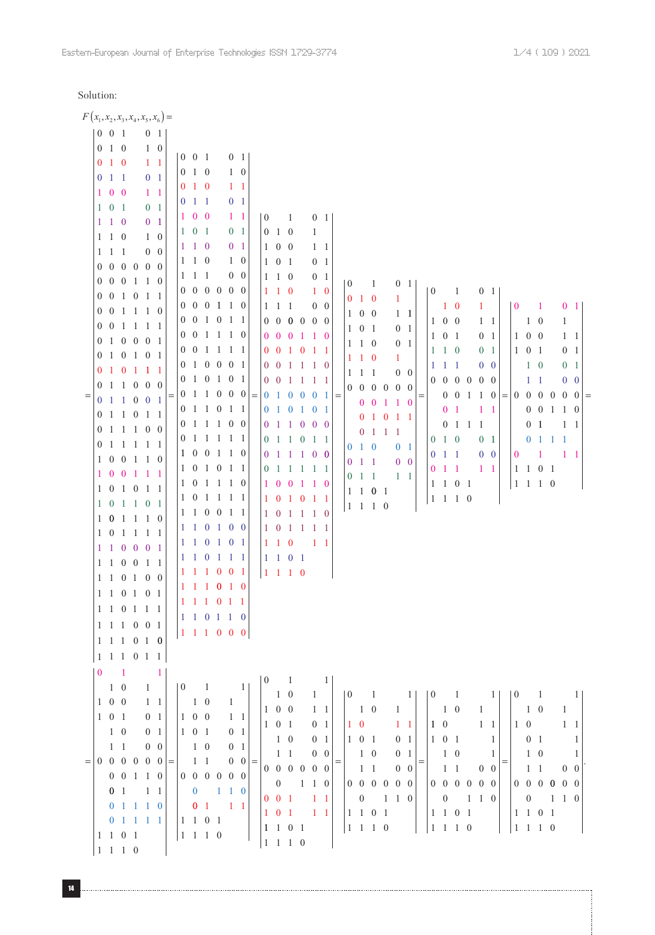# Solution: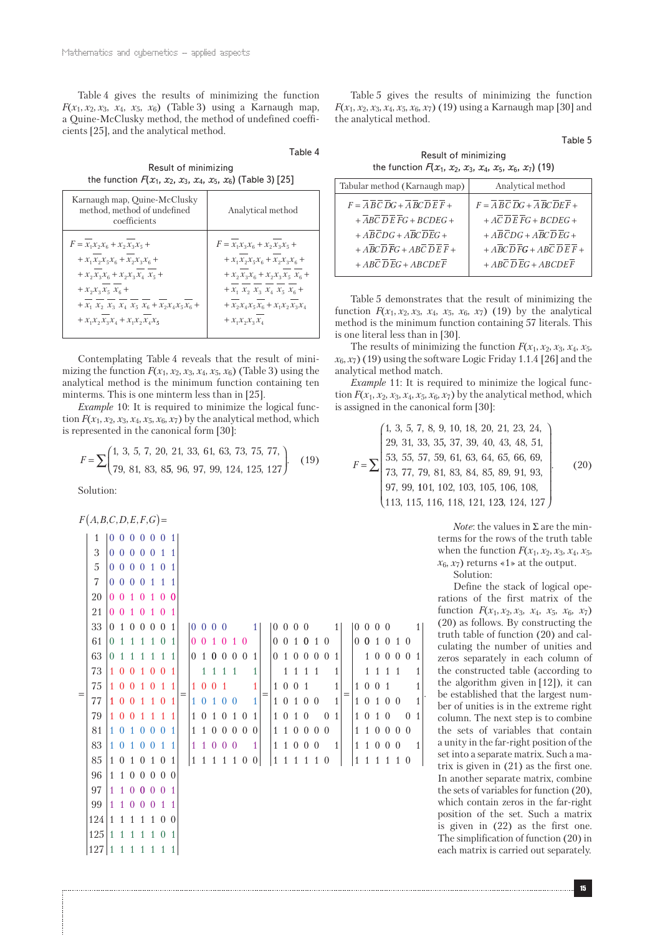Table 4 gives the results of minimizing the function *F*( $x_1, x_2, x_3, x_4, x_5, x_6$ ) (Table 3) using a Karnaugh map, a Quine-McClusky method, the method of undefined coefficients [25], and the analytical method.

Result of minimizing the function  $F(x_1, x_2, x_3, x_4, x_5, x_6)$  (Table 3) [25]

Table 4

| Karnaugh map, Quine-McClusky<br>method, method of undefined<br>coefficients | Analytical method                                                                                              |
|-----------------------------------------------------------------------------|----------------------------------------------------------------------------------------------------------------|
| $F = x_1 x_2 x_6 + x_2 x_3 x_5 +$                                           | $F = x_1 x_3 x_6 + x_2 x_3 x_5 +$                                                                              |
| $+ x_1 x_2 x_5 x_6 + x_2 x_3 x_6 +$                                         | $+ x_1 x_2 x_5 x_6 + x_2 x_3 x_6 +$                                                                            |
| $+ x_2 x_3 x_6 + x_2 x_3 x_4 x_5 +$                                         | $+ x_2 x_3 x_6 + x_2 x_3 x_5 x_6 +$                                                                            |
| + $x_2 x_3 x_5 x_6 +$                                                       | + $x_1$ $x_2$ $x_3$ $x_4$ $x_5$ $x_6$ +                                                                        |
| + $x_1$ $x_2$ $x_3$ $x_4$ $x_5$ $x_6$ + $x_2x_4x_5x_6$ +                    | $+\mathcal{X}_2\mathcal{X}_4\mathcal{X}_5\mathcal{X}_6 + \mathcal{X}_1\mathcal{X}_2\mathcal{X}_3\mathcal{X}_4$ |
| $+ x_1 x_2 x_3 x_4 + x_1 x_2 x_4 x_5$                                       | $+ x_1 x_2 x_3 x_4$                                                                                            |

Contemplating Table 4 reveals that the result of minimizing the function  $F(x_1, x_2, x_3, x_4, x_5, x_6)$  (Table 3) using the analytical method is the minimum function containing ten minterms. This is one minterm less than in [25].

*Example* 10: It is required to minimize the logical function  $F(x_1, x_2, x_3, x_4, x_5, x_6, x_7)$  by the analytical method, which is represented in the canonical form [30]:

$$
F = \sum \begin{pmatrix} 1, 3, 5, 7, 20, 21, 33, 61, 63, 73, 75, 77, \\ 79, 81, 83, 85, 96, 97, 99, 124, 125, 127 \end{pmatrix} (19)
$$

Solution:

$$
F(A,B,C,D,E,F,G) =
$$

| $\mathbf{1}$                                         |  |  | 0000001       |  |               |               |  |                |     |                                                                                                                                                                                                                                                                                                                                |         |  |                                        |                |     |  |             |  |                 |              |
|------------------------------------------------------|--|--|---------------|--|---------------|---------------|--|----------------|-----|--------------------------------------------------------------------------------------------------------------------------------------------------------------------------------------------------------------------------------------------------------------------------------------------------------------------------------|---------|--|----------------------------------------|----------------|-----|--|-------------|--|-----------------|--------------|
| 3                                                    |  |  | 0 0 0 0 0 1 1 |  |               |               |  |                |     |                                                                                                                                                                                                                                                                                                                                |         |  |                                        |                |     |  |             |  |                 |              |
| $\overline{5}$                                       |  |  | 0 0 0 0 1 0 1 |  |               |               |  |                |     |                                                                                                                                                                                                                                                                                                                                |         |  |                                        |                |     |  |             |  |                 |              |
| 7                                                    |  |  | 0 0 0 0 1 1 1 |  |               |               |  |                |     |                                                                                                                                                                                                                                                                                                                                |         |  |                                        |                |     |  |             |  |                 |              |
| 20                                                   |  |  | 0010100       |  |               |               |  |                |     |                                                                                                                                                                                                                                                                                                                                |         |  |                                        |                |     |  |             |  |                 |              |
| 21                                                   |  |  | 0 0 1 0 1 0 1 |  |               |               |  |                |     |                                                                                                                                                                                                                                                                                                                                |         |  |                                        |                |     |  |             |  |                 |              |
| 33                                                   |  |  | 0 1 0 0 0 0 1 |  |               |               |  |                |     | $\begin{bmatrix} 0 & 0 & 0 & 0 \\ 0 & 0 & 0 & 0 \\ 0 & 0 & 0 & 0 \\ 0 & 0 & 0 & 0 \\ 0 & 0 & 0 & 0 \\ 0 & 0 & 0 & 0 \\ 0 & 0 & 0 & 0 \\ 0 & 0 & 0 & 0 \\ 0 & 0 & 0 & 0 \\ 0 & 0 & 0 & 0 \\ 0 & 0 & 0 & 0 \\ 0 & 0 & 0 & 0 & 0 \\ 0 & 0 & 0 & 0 & 0 \\ 0 & 0 & 0 & 0 & 0 \\ 0 & 0 & 0 & 0 & 0 & 0 \\ 0 & 0 & 0 & 0 & 0 & 0 \\ $ |         |  |                                        |                |     |  |             |  | $ 0\;0\;0\;0$ 1 |              |
| 61                                                   |  |  | 0 1 1 1 1 0 1 |  |               |               |  |                |     |                                                                                                                                                                                                                                                                                                                                |         |  |                                        |                |     |  |             |  | 0 0 1 0 1 0     |              |
| 63                                                   |  |  | 0 1 1 1 1 1 1 |  | 0 1 0 0 0 0 1 |               |  |                |     | 0100001                                                                                                                                                                                                                                                                                                                        |         |  |                                        |                |     |  |             |  | 100001          |              |
| 73                                                   |  |  | 1 0 0 1 0 0 1 |  |               | 1 1 1 1       |  | $\vert$ 1      |     |                                                                                                                                                                                                                                                                                                                                | 1 1 1 1 |  |                                        | $\vert$ 1      |     |  | 1 1 1 1     |  | $\overline{1}$  |              |
| 75                                                   |  |  | 1 0 0 1 0 1 1 |  |               | 1001          |  | $\overline{1}$ | $=$ | 1 0 0 1                                                                                                                                                                                                                                                                                                                        |         |  |                                        | $\mathbf{1}$   | $=$ |  | 1 0 0 1     |  |                 | $\mathbf{1}$ |
| 77                                                   |  |  | 1 0 0 1 1 0 1 |  |               | 101001        |  |                |     | 1 0 1 0 0                                                                                                                                                                                                                                                                                                                      |         |  |                                        | 1 <sup>1</sup> |     |  | 1 0 1 0 0   |  | $\overline{1}$  |              |
| 79                                                   |  |  | 1 0 0 1 1 1 1 |  |               | 1 0 1 0 1 0 1 |  |                |     | 1 0 1 0                                                                                                                                                                                                                                                                                                                        |         |  | $\begin{array}{ccc} 0 & 1 \end{array}$ |                |     |  |             |  | 1 0 1 0 0 1     |              |
| 81                                                   |  |  | 1010001       |  |               | 1 1 0 0 0 0 0 |  |                |     | 1 1 0 0 0 0                                                                                                                                                                                                                                                                                                                    |         |  |                                        |                |     |  | 1 1 0 0 0 0 |  |                 |              |
| 83                                                   |  |  | 1010011       |  |               | 1 1 0 0 0 1   |  |                |     | 1 1 0 0 0 1                                                                                                                                                                                                                                                                                                                    |         |  |                                        |                |     |  |             |  | 1 1 0 0 0 1     |              |
| 85                                                   |  |  | 1 0 1 0 1 0 1 |  | 1 1 1 1 1 0 0 |               |  |                |     | 111110                                                                                                                                                                                                                                                                                                                         |         |  |                                        |                |     |  | 1 1 1 1 1 0 |  |                 |              |
| 96                                                   |  |  | 1 1 0 0 0 0 0 |  |               |               |  |                |     |                                                                                                                                                                                                                                                                                                                                |         |  |                                        |                |     |  |             |  |                 |              |
| 97                                                   |  |  | 1 1 0 0 0 0 1 |  |               |               |  |                |     |                                                                                                                                                                                                                                                                                                                                |         |  |                                        |                |     |  |             |  |                 |              |
| 99                                                   |  |  | 1 1 0 0 0 1 1 |  |               |               |  |                |     |                                                                                                                                                                                                                                                                                                                                |         |  |                                        |                |     |  |             |  |                 |              |
| $124 \mid 1 \quad 1 \quad 1 \quad 1 \quad 0 \quad 0$ |  |  |               |  |               |               |  |                |     |                                                                                                                                                                                                                                                                                                                                |         |  |                                        |                |     |  |             |  |                 |              |
| $125 \mid 1 \quad 1 \quad 1 \quad 1 \quad 0 \quad 1$ |  |  |               |  |               |               |  |                |     |                                                                                                                                                                                                                                                                                                                                |         |  |                                        |                |     |  |             |  |                 |              |
| $127$ 1 1 1 1 1 1 1                                  |  |  |               |  |               |               |  |                |     |                                                                                                                                                                                                                                                                                                                                |         |  |                                        |                |     |  |             |  |                 |              |

Table 5 gives the results of minimizing the function *F*(*x*1, *x*2, *x*3, *x*4, *x*5, *x*6, *x*7) (19) using a Karnaugh map [30] and the analytical method.

Table 5

Result of minimizing the function  $F(x_1, x_2, x_3, x_4, x_5, x_6, x_7)$  (19)

| Tabular method (Karnaugh map) | Analytical method       |
|-------------------------------|-------------------------|
| $F = ABCDG + ABCDEF +$        | $F = ABCDG + ABCDEF +$  |
| $+ ABCDEFG + BCDEG +$         | $+ AC$ D E FG + BCDEG + |
| $+ ABCDG + ABCDEG +$          | $+ ABCDG + ABCDEG +$    |
| $+ ABCDFG + ABCDEF +$         | $+ ABCDFG + ABCDEF +$   |
| $+ ABCDEG + ABCDEF$           | $+ ABCDEG + ABCDEF$     |
|                               |                         |

Table 5 demonstrates that the result of minimizing the function  $F(x_1, x_2, x_3, x_4, x_5, x_6, x_7)$  (19) by the analytical method is the minimum function containing 57 literals. This is one literal less than in [30].

The results of minimizing the function  $F(x_1, x_2, x_3, x_4, x_5)$  $x_6, x_7$ ) (19) using the software Logic Friday 1.1.4 [26] and the analytical method match.

*Example* 11: It is required to minimize the logical function  $F(x_1, x_2, x_3, x_4, x_5, x_6, x_7)$  by the analytical method, which is assigned in the canonical form [30]:

$$
F = \sum \begin{pmatrix} 1, 3, 5, 7, 8, 9, 10, 18, 20, 21, 23, 24, \\ 29, 31, 33, 35, 37, 39, 40, 43, 48, 51, \\ 53, 55, 57, 59, 61, 63, 64, 65, 66, 69, \\ 73, 77, 79, 81, 83, 84, 85, 89, 91, 93, \\ 97, 99, 101, 102, 103, 105, 106, 108, \\ 113, 115, 116, 118, 121, 123, 124, 127 \end{pmatrix}
$$
 (20)

*Note*: the values in  $\Sigma$  are the minterms for the rows of the truth table when the function  $F(x_1, x_2, x_3, x_4, x_5)$ ,  $x_6, x_7$ ) returns  $\le 1$  at the output.

Solution:

.

Define the stack of logical operations of the first matrix of the function  $F(x_1, x_2, x_3, x_4, x_5, x_6, x_7)$ (20) as follows. By constructing the truth table of function (20) and calculating the number of unities and zeros separately in each column of the constructed table (according to the algorithm given in [12]), it can be established that the largest number of unities is in the extreme right column. The next step is to combine the sets of variables that contain a unity in the far-right position of the set into a separate matrix. Such a matrix is given in (21) as the first one. In another separate matrix, combine the sets of variables for function (20), which contain zeros in the far-right position of the set. Such a matrix is given in (22) as the first one. The simplification of function (20) in each matrix is carried out separately.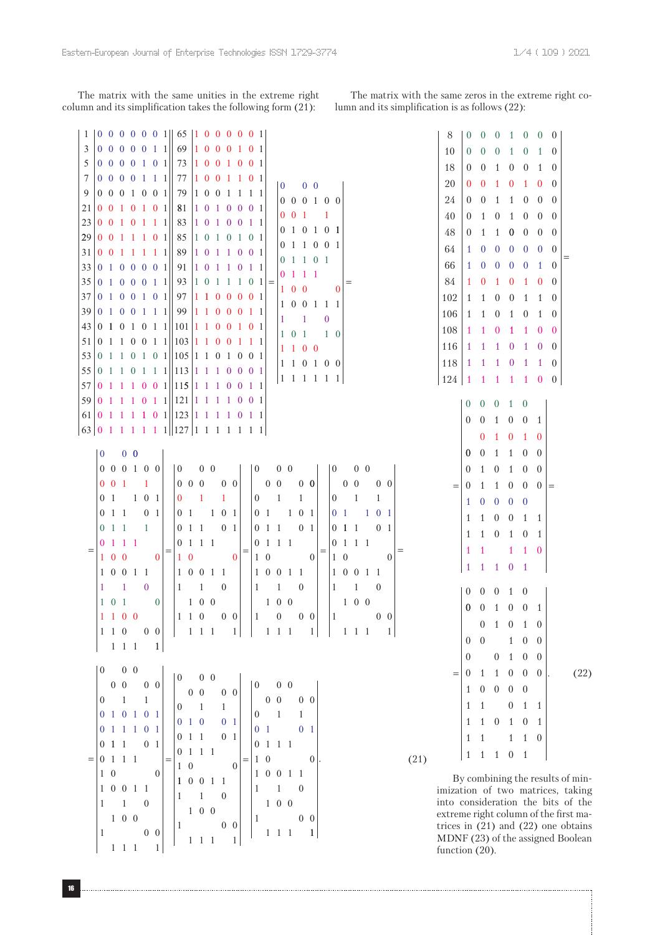The matrix with the same unities in the extreme right column and its simplification takes the following form (21):

The matrix with the same zeros in the extreme right column and its simplification is as follows (22):

| $\mathbf{1}$                                                                                                                |                             |             |                                           |                                           |                |                          |     |                                                                                                                           |                                             |                |              |              |                                                        |                                                                                                 |                   |                                       |                |                 |          |              |              |              |                 |                         |           |      | 8                                                        |                          |                  |              | $\theta$       | 1                                   | $\bf{0}$            | $0 \quad 0$       |  |
|-----------------------------------------------------------------------------------------------------------------------------|-----------------------------|-------------|-------------------------------------------|-------------------------------------------|----------------|--------------------------|-----|---------------------------------------------------------------------------------------------------------------------------|---------------------------------------------|----------------|--------------|--------------|--------------------------------------------------------|-------------------------------------------------------------------------------------------------|-------------------|---------------------------------------|----------------|-----------------|----------|--------------|--------------|--------------|-----------------|-------------------------|-----------|------|----------------------------------------------------------|--------------------------|------------------|--------------|----------------|-------------------------------------|---------------------|-------------------|--|
| 3                                                                                                                           | $0 \t0 \t0 \t0 \t0 \t1 \t1$ |             |                                           |                                           |                |                          |     |                                                                                                                           |                                             |                |              |              | 69 1 0 0 0 1 0 1                                       |                                                                                                 |                   |                                       |                |                 |          |              |              |              |                 |                         |           |      | 10                                                       | $\theta$                 |                  | $\theta$     | $\theta$       | 1                                   | $\theta$            | 1 0               |  |
| 5                                                                                                                           |                             |             |                                           |                                           |                |                          |     |                                                                                                                           |                                             |                |              |              | 73 1 0 0 1 0 0 1                                       |                                                                                                 |                   |                                       |                |                 |          |              |              |              |                 |                         |           |      | 18                                                       | $\theta$                 |                  | $\theta$     | 1              |                                     | $0 \quad 0$         | 1 0               |  |
| 7                                                                                                                           | $0 \t0 \t0 \t0 \t1 \t1$     |             |                                           |                                           |                |                          |     | 77                                                                                                                        |                                             |                |              |              | 1001101                                                |                                                                                                 |                   | $\begin{bmatrix} 0 & 0 \end{bmatrix}$ |                |                 |          |              |              |              |                 |                         |           |      | 20                                                       | $\theta$                 |                  | $\theta$     |                | $\theta$                            |                     | 1 0 0             |  |
| 9                                                                                                                           | 0 0 0 1 0 0 1               |             |                                           |                                           |                |                          |     | 79                                                                                                                        |                                             |                |              |              | 1001111                                                |                                                                                                 |                   |                                       |                |                 |          |              |              |              |                 |                         |           |      | 24                                                       |                          |                  | $\theta$     |                | 1                                   |                     | $0\quad 0\quad 0$ |  |
| 21                                                                                                                          |                             |             |                                           |                                           |                | 0 0 1 0 1 0 1            |     | 81                                                                                                                        |                                             |                |              |              | 1 0 1 0 0 0 1                                          |                                                                                                 |                   | $0 \t0 \t0 \t1 \t0 \t0$               |                |                 |          |              |              |              |                 |                         |           |      |                                                          | $\theta$                 |                  |              |                |                                     |                     |                   |  |
| 23 0 0 1 0 1 1 1                                                                                                            |                             |             |                                           |                                           |                |                          |     | 83                                                                                                                        |                                             |                |              |              | 1 0 1 0 0 1 1                                          |                                                                                                 |                   | $0 \t0 \t1 \t1$                       |                |                 |          |              |              |              |                 |                         |           |      | 40                                                       | $\theta$                 |                  | 1            | $\theta$       | 1                                   |                     | $0\quad 0\quad 0$ |  |
| 29 0 0 1 1 1 0 1                                                                                                            |                             |             |                                           |                                           |                |                          |     | 85                                                                                                                        |                                             |                |              |              | 1010101                                                |                                                                                                 |                   | 0 1 0 1 0 1                           |                |                 |          |              |              |              |                 |                         |           |      | 48                                                       | $\theta$                 |                  | 1            | 1              |                                     |                     | $0 \t0 \t0 \t0$   |  |
| 31 0 0 1 1 1 1 1                                                                                                            |                             |             |                                           |                                           |                |                          |     | 89                                                                                                                        |                                             |                |              |              | 1011001                                                |                                                                                                 |                   | 0 1 1 0 0 1                           |                |                 |          |              |              |              |                 |                         |           |      | 64                                                       | $\mathbf{1}$             |                  | $\mathbf{0}$ | $\theta$       |                                     |                     | $0 \t0 \t0 \t0$   |  |
| 33 0100001                                                                                                                  |                             |             |                                           |                                           |                |                          |     | 91                                                                                                                        |                                             |                |              |              | 1011011                                                |                                                                                                 |                   | 01101                                 |                |                 |          |              |              |              |                 |                         |           |      | 66                                                       | $\mathbf{1}$             |                  | $\theta$     | $\theta$       |                                     |                     | $0 \t0 \t1 \t0$   |  |
| 35 0100011                                                                                                                  |                             |             |                                           |                                           |                |                          |     | 93                                                                                                                        |                                             |                |              |              | $ 1 \t0 \t1 \t1 \t1 \t0 \t1 $                          |                                                                                                 |                   | $0 \t1 \t1 \t1$                       |                |                 |          |              |              |              |                 |                         |           |      | 84                                                       | 1                        |                  | $\bf{0}$     | -1             | $\theta$                            |                     | 1 0 0             |  |
| 37 0100101                                                                                                                  |                             |             |                                           |                                           |                |                          |     | 97                                                                                                                        |                                             |                |              |              | 1 1 0 0 0 0 1                                          |                                                                                                 |                   | $1 \t0 \t0 \t0$                       |                |                 |          |              |              |              |                 |                         |           |      | 102                                                      | 1                        |                  | 1            | $\theta$       | $\overline{0}$                      | 1                   | 1 0               |  |
| $39 \mid 0 \quad 1 \quad 0 \quad 0 \quad 1 \quad 1 \mid$                                                                    |                             |             |                                           |                                           |                |                          |     | 99                                                                                                                        |                                             |                |              |              | 1100011                                                |                                                                                                 |                   | 1 0 0 1 1 1                           |                |                 |          |              |              |              |                 |                         |           |      | 106                                                      | 1                        |                  | 1            | $\theta$       | 1 0                                 |                     | 1 0               |  |
| 43 0 1 0 1 0 1 1 1 0 1 1 1 0 0 1 0 1                                                                                        |                             |             |                                           |                                           |                |                          |     |                                                                                                                           |                                             |                |              |              |                                                        |                                                                                                 |                   | $1 \quad 1$                           |                |                 | $\bf{0}$ |              |              |              |                 |                         |           |      | 108                                                      | 1                        |                  | 1            | $\bf{0}$       | -1                                  |                     | 1 0 0             |  |
| $51 \mid 0 \quad 1 \quad 1 \quad 0 \quad 0 \quad 1 \quad 1 \mid 103 \mid 1 \quad 1 \quad 0 \quad 0 \quad 1 \quad 1 \quad 1$ |                             |             |                                           |                                           |                |                          |     |                                                                                                                           |                                             |                |              |              |                                                        |                                                                                                 |                   | $1 \t0 \t1 \t1 \t0$                   |                |                 |          |              |              |              |                 |                         |           |      |                                                          |                          |                  |              |                |                                     |                     |                   |  |
| 53 0 1 1 0 1 0 1 0 1 0 5 1 1 0 1 0 0 1                                                                                      |                             |             |                                           |                                           |                |                          |     |                                                                                                                           |                                             |                |              |              |                                                        |                                                                                                 |                   | $1\quad1\quad0\quad0$                 |                |                 |          |              |              |              |                 |                         |           |      | 116                                                      | 1                        |                  | 1            | 1              | $\overline{0}$                      | -1                  | $0 \quad 0$       |  |
| 55 0 1 1 0 1 1 1 1 1 1 1 1 1 0 0 0 1                                                                                        |                             |             |                                           |                                           |                |                          |     |                                                                                                                           |                                             |                |              |              |                                                        |                                                                                                 |                   | 1 1 0 1 0 0                           |                |                 |          |              |              |              |                 |                         |           |      | 118                                                      | 1                        |                  | 1            | -1             | $\overline{0}$                      | -1                  | 1 0               |  |
| $57 \mid 0 \quad 1 \quad 1 \quad 1 \quad 0 \quad 0 \quad 1 \mid 115 \mid 1 \quad 1 \quad 1 \quad 0 \quad 0 \quad 1 \quad 1$ |                             |             |                                           |                                           |                |                          |     |                                                                                                                           |                                             |                |              |              |                                                        |                                                                                                 |                   | 1 1 1 1 1 1                           |                |                 |          |              |              |              |                 |                         |           |      | 124                                                      | 1                        |                  | -1           |                | 1 1 1 0 0                           |                     |                   |  |
|                                                                                                                             |                             |             |                                           |                                           |                |                          |     |                                                                                                                           |                                             |                |              |              |                                                        |                                                                                                 |                   |                                       |                |                 |          |              |              |              |                 |                         |           |      |                                                          |                          |                  |              |                | $0 \t0 \t0 \t1 \t0$                 |                     |                   |  |
| $61 \mid 0 \mid 1 \mid 1 \mid 1 \mid 0 \mid 1 \mid 123 \mid 1 \mid 1 \mid 1 \mid 0 \mid 1 \mid 1$                           |                             |             |                                           |                                           |                |                          |     |                                                                                                                           |                                             |                |              |              |                                                        |                                                                                                 |                   |                                       |                |                 |          |              |              |              |                 |                         |           |      |                                                          | $\theta$                 | $\overline{0}$   |              | 1              |                                     |                     |                   |  |
| $63$   0 1 1 1 1 1 1     127   1 1 1 1 1 1 1 1                                                                              |                             |             |                                           |                                           |                |                          |     |                                                                                                                           |                                             |                |              |              |                                                        |                                                                                                 |                   |                                       |                |                 |          |              |              |              |                 |                         |           |      |                                                          |                          |                  |              |                |                                     | $0 \t 0 \t 1$       |                   |  |
|                                                                                                                             |                             |             |                                           |                                           |                |                          |     |                                                                                                                           |                                             |                |              |              |                                                        |                                                                                                 |                   |                                       |                |                 |          |              |              |              |                 |                         |           |      |                                                          |                          |                  | $^{(1)}$     |                | $\theta$                            | 1 0                 |                   |  |
|                                                                                                                             |                             |             |                                           | $\begin{bmatrix} 0 & 0 & 0 \end{bmatrix}$ |                |                          |     |                                                                                                                           |                                             |                |              |              |                                                        |                                                                                                 |                   |                                       |                |                 |          |              |              |              |                 |                         |           |      |                                                          | $\bf{0}$                 | $\boldsymbol{0}$ |              | 1              | 1                                   | $0\quad 0$          |                   |  |
|                                                                                                                             |                             |             |                                           |                                           |                | 0 0 0 1 0 0              |     | $\begin{vmatrix} 0 & 0 & 0 \end{vmatrix}$                                                                                 |                                             |                |              |              | $\begin{bmatrix} 0 & 0 & 0 \end{bmatrix}$              |                                                                                                 |                   |                                       |                |                 |          |              | $\mathbf{0}$ |              | $0\quad 0$      |                         |           |      |                                                          | $\theta$                 | 1                |              | $\theta$       |                                     | $1 \quad 0 \quad 0$ |                   |  |
|                                                                                                                             |                             |             |                                           | $0 \t0 \t1 \t1$                           |                |                          |     | $\begin{bmatrix} 0 & 0 & 0 & 0 & 0 \end{bmatrix}$                                                                         |                                             |                |              |              | $\begin{array}{cccc} \mid & 0 & 0 & 0 & 0 \end{array}$ |                                                                                                 |                   |                                       |                |                 |          |              |              | $0\quad 0$   |                 |                         | $0\quad0$ |      |                                                          | $\theta$<br>$=$          |                  | 1            | 1              |                                     |                     | $0 \t 0 \t 0 =$   |  |
|                                                                                                                             |                             |             |                                           | 01101                                     |                |                          |     | $\begin{array}{ccc} \n\begin{array}{ccc} 0 & 1 \end{array} \n\end{array}$                                                 |                                             |                | $\mathbf{1}$ |              |                                                        | $0 \quad 1 \quad 1$                                                                             |                   |                                       |                |                 |          |              |              | $0 \quad 1$  |                 | -1                      |           |      |                                                          | $\mathbf{1}$             | $\mathbf{0}$     |              | $\theta$       | $0\quad 0$                          |                     |                   |  |
|                                                                                                                             |                             |             | $0 \t1 \t1$                               |                                           | 0 <sub>1</sub> |                          |     | $\begin{bmatrix} 0 & 1 & 1 & 0 & 1 \end{bmatrix}$                                                                         |                                             |                |              |              |                                                        | 01101                                                                                           |                   |                                       |                |                 |          |              |              |              |                 | 01101                   |           |      |                                                          | 1                        |                  | 1            | $\theta$       | $\theta$                            | 1 1                 |                   |  |
|                                                                                                                             |                             | 011         |                                           |                                           | - 1            |                          |     | $\begin{array}{cccc} 0 & 1 & 1 & 0 & 1 \end{array}$                                                                       |                                             |                |              |              |                                                        | $0 \quad 1 \quad 1$                                                                             |                   |                                       |                | 0 <sub>1</sub>  |          |              |              | $0 \t1 \t1$  |                 | 0 <sub>1</sub>          |           |      |                                                          | 1                        |                  | 1            | $\overline{0}$ |                                     | $1 \quad 0 \quad 1$ |                   |  |
|                                                                                                                             |                             |             | 0 1 1 1                                   |                                           |                |                          |     | $ 0 \t1 \t1 \t1$                                                                                                          |                                             |                |              |              |                                                        | 0 1 1 1                                                                                         |                   |                                       |                |                 |          |              |              | 0111         |                 |                         |           |      |                                                          | 1                        | 1                |              |                |                                     | $1\quad1\quad0$     |                   |  |
|                                                                                                                             |                             |             | $1 \quad 0 \quad 0$                       |                                           |                | $\overline{\phantom{0}}$ |     |                                                                                                                           | $1\quad0$                                   | $\overline{0}$ |              |              |                                                        | $1\quad0$                                                                                       |                   |                                       |                | $\overline{0}$  |          |              | $1\quad0$    |              |                 | $\overline{\mathbf{0}}$ |           |      |                                                          |                          |                  |              |                | 1 0 1                               |                     |                   |  |
|                                                                                                                             |                             |             |                                           | $1 \t0 \t0 \t1 \t1$                       |                |                          |     | 10011                                                                                                                     |                                             |                |              |              |                                                        | 1 0 0 1 1                                                                                       |                   |                                       |                |                 |          |              |              |              | 1 0 0 1 1       |                         |           |      |                                                          | $\mathbf{1}$             |                  | $\mathbf{1}$ |                |                                     |                     |                   |  |
|                                                                                                                             | 1                           |             | $\blacksquare$                            |                                           | $\sim 0$       |                          |     |                                                                                                                           | $\begin{bmatrix} 1 & 1 & 0 \end{bmatrix}$   |                |              |              |                                                        | $1 \quad 1$                                                                                     |                   |                                       | $\overline{0}$ |                 |          | $\mathbf{I}$ |              | $\mathbf{1}$ |                 | $\overline{0}$          |           |      |                                                          |                          |                  |              |                | $0 \t0 \t0 \t1 \t0$                 |                     |                   |  |
|                                                                                                                             |                             | $1 \t0 \t1$ |                                           |                                           |                | $\overline{\phantom{0}}$ |     | $\begin{array}{ccc} \end{array}$ 1 0 0                                                                                    |                                             |                |              |              | 100                                                    |                                                                                                 |                   |                                       |                |                 |          |              |              |              | $1\quad0\quad0$ |                         |           |      |                                                          |                          |                  |              |                | $0 \t0 \t1 \t0 \t0 \t1$             |                     |                   |  |
|                                                                                                                             |                             |             |                                           |                                           |                |                          |     |                                                                                                                           |                                             |                |              |              |                                                        |                                                                                                 |                   |                                       |                |                 |          |              |              |              |                 |                         |           |      |                                                          |                          |                  |              |                | $0 \t1 \t0 \t1 \t0$                 |                     |                   |  |
|                                                                                                                             |                             |             |                                           |                                           |                |                          |     |                                                                                                                           |                                             |                |              |              |                                                        |                                                                                                 |                   |                                       |                |                 |          |              |              |              |                 |                         |           |      |                                                          |                          | $0 \quad 0$      |              |                |                                     | $1 \quad 0 \quad 0$ |                   |  |
|                                                                                                                             |                             |             |                                           |                                           |                | $1 \; 1 \; 1 \; 1$       |     |                                                                                                                           |                                             |                |              |              |                                                        |                                                                                                 |                   |                                       |                |                 |          |              |              |              |                 |                         |           |      |                                                          |                          |                  |              |                |                                     |                     |                   |  |
|                                                                                                                             |                             |             | $\begin{bmatrix} 0 & 0 & 0 \end{bmatrix}$ |                                           |                |                          |     |                                                                                                                           |                                             |                |              |              |                                                        |                                                                                                 |                   |                                       |                |                 |          |              |              |              |                 |                         |           |      |                                                          | $\mathbf{0}$             |                  |              |                | $0\quad 1\quad 0\quad 0$            |                     |                   |  |
|                                                                                                                             |                             |             | $0\quad 0$                                |                                           |                | $0 \quad 0$              |     | $\begin{bmatrix} 0 & 0 & 0 \end{bmatrix}$                                                                                 |                                             |                |              |              | $\begin{bmatrix} 0 & 0 & 0 \end{bmatrix}$              |                                                                                                 |                   |                                       |                |                 |          |              |              |              |                 |                         |           |      |                                                          | $\overline{0}$           | $\mathbf{1}$     |              |                | $1\quad 0\quad 0\quad 0$            |                     |                   |  |
|                                                                                                                             |                             |             |                                           |                                           |                |                          |     |                                                                                                                           |                                             |                |              |              |                                                        |                                                                                                 |                   |                                       |                |                 |          |              |              |              |                 |                         |           |      |                                                          | $\mathbf{1}$             |                  |              |                | $0\quad 0\quad 0\quad 0$            |                     |                   |  |
|                                                                                                                             | $\mathbf{0}$                |             | $\overline{1}$                            |                                           | $\mathbf{1}$   | 0 1 0 1 0 1              |     |                                                                                                                           |                                             |                |              |              |                                                        |                                                                                                 |                   |                                       |                |                 |          |              |              |              |                 |                         |           |      |                                                          | 1                        | $\mathbf{1}$     |              |                |                                     | $0 \quad 1 \quad 1$ |                   |  |
|                                                                                                                             |                             |             |                                           |                                           |                |                          |     |                                                                                                                           |                                             |                |              |              |                                                        |                                                                                                 |                   |                                       |                |                 |          |              |              |              |                 |                         |           |      |                                                          | $\mathbf{1}$             |                  |              |                | $1\quad 0\quad 1\quad 0\quad 1$     |                     |                   |  |
|                                                                                                                             |                             |             |                                           |                                           |                |                          |     | $\begin{bmatrix} 0 & 1 & 1 & 1 & 0 & 1 \end{bmatrix} \begin{bmatrix} 0 & 1 & 1 & 0 & 1 \ 0 & 1 & 1 & 0 & 1 \end{bmatrix}$ |                                             |                |              |              |                                                        |                                                                                                 |                   |                                       |                |                 |          |              |              |              |                 |                         |           |      |                                                          | $\mathbf{1}$             | $\mathbf{1}$     |              |                |                                     | $1 \quad 1 \quad 0$ |                   |  |
|                                                                                                                             |                             |             |                                           |                                           |                | $0 \t1 \t1 \t0 \t1$      | $=$ |                                                                                                                           | 0 1 1 1                                     |                |              |              |                                                        | 0 1 1 1                                                                                         |                   |                                       |                |                 |          |              |              |              |                 |                         |           |      |                                                          |                          |                  |              |                | $1 \quad 1 \quad 1 \quad 0 \quad 1$ |                     |                   |  |
|                                                                                                                             |                             |             | $ 0 \t1 \t1 \t1$                          |                                           |                |                          |     |                                                                                                                           | $\begin{bmatrix} 1 & 0 & 0 \end{bmatrix}$   |                |              |              |                                                        | $1\quad0$                                                                                       |                   |                                       |                | $\vert 0 \vert$ |          |              |              |              |                 |                         |           | (21) |                                                          |                          |                  |              |                |                                     |                     |                   |  |
|                                                                                                                             |                             | $1\quad0$   |                                           |                                           |                | $\overline{\mathbf{0}}$  |     |                                                                                                                           | $1 \t0 \t0 \t1 \t1$                         |                |              |              |                                                        | $1 \t0 \t0 \t1 \t1$                                                                             |                   |                                       |                |                 |          |              |              |              |                 |                         |           |      |                                                          | By combining the result. |                  |              |                |                                     |                     |                   |  |
|                                                                                                                             |                             |             |                                           | $1 \t0 \t0 \t1 \t1$                       |                |                          |     |                                                                                                                           | $\begin{array}{cccc} 1 & 1 & 0 \end{array}$ |                |              |              | $1 \t0 \t0$                                            | $1 \quad 1$                                                                                     |                   |                                       | $\overline{0}$ |                 |          |              |              |              |                 |                         |           |      | imization of two matrices<br>into consideration the bits |                          |                  |              |                |                                     |                     |                   |  |
|                                                                                                                             | $\mathbf{1}$                |             |                                           | 1                                         | $\overline{0}$ |                          |     |                                                                                                                           | 1 0 0                                       |                |              |              |                                                        |                                                                                                 |                   |                                       |                |                 |          |              |              |              |                 |                         |           |      | extreme right column of the                              |                          |                  |              |                |                                     |                     |                   |  |
|                                                                                                                             |                             |             | $1\quad 0\quad 0$                         |                                           |                |                          |     |                                                                                                                           | 1                                           |                |              | $0 \quad 0$  |                                                        | $\begin{matrix} 1 \end{matrix}$ $\begin{matrix} 0 \end{matrix}$ $\begin{matrix} 0 \end{matrix}$ |                   |                                       |                |                 |          |              |              |              |                 |                         |           |      | trices in $(21)$ and $(22)$ one                          |                          |                  |              |                |                                     |                     |                   |  |
|                                                                                                                             |                             |             | $1$ and $\sim$                            |                                           |                | $0\quad 0$               |     |                                                                                                                           | $1 \quad 1 \quad 1$                         |                |              | $\mathbf{1}$ |                                                        |                                                                                                 | $1\quad 1\quad 1$ |                                       |                | $\vert$         |          |              |              |              |                 |                         |           |      | MDNF (23) of the assigned                                |                          |                  |              |                |                                     |                     |                   |  |

By combining the results of mination of two matrices, taking consideration the bits of the eme right column of the first mas in  $(21)$  and  $(22)$  one obtains MDNF (23) of the assigned Boolean function (20).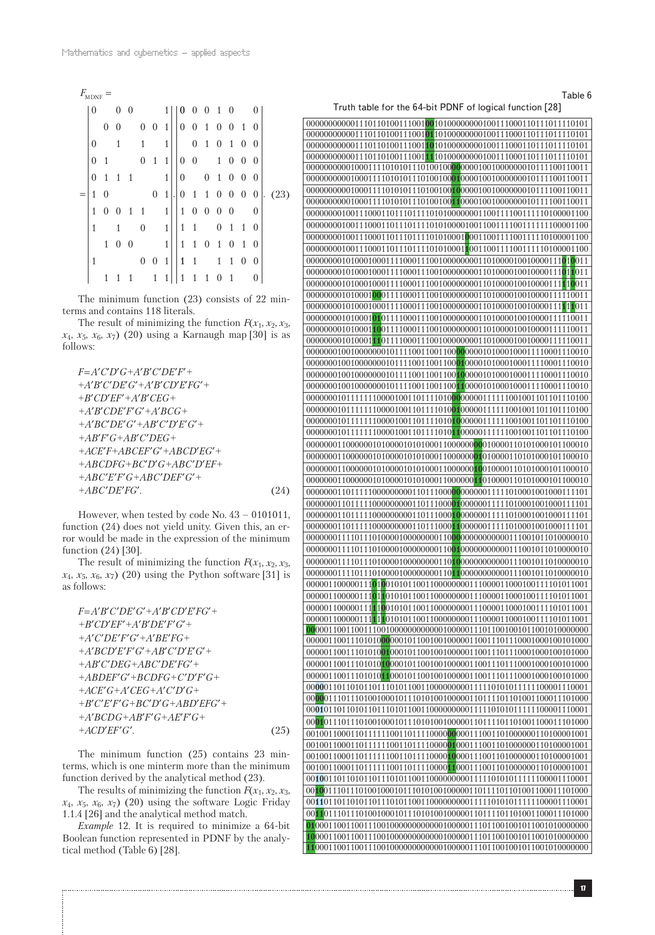#### Table 6

Truth table for the 64-bit PDNF of logical function [28]

| $F_{\mbox{\tiny MDNF}}$ |                  |                  |                  |          |   |                  |                |    |                  |                  |                  |                  |                  |                |                |                              |
|-------------------------|------------------|------------------|------------------|----------|---|------------------|----------------|----|------------------|------------------|------------------|------------------|------------------|----------------|----------------|------------------------------|
|                         | 0                |                  | 0                | $\theta$ |   |                  | 1 <sup>1</sup> |    | $\vert 0$        | $\overline{0}$   | $\overline{0}$   | $\mathbf{1}$     | 0                |                | 0              |                              |
|                         |                  | $\boldsymbol{0}$ |                  |          | 0 | $\overline{0}$   | $\mathbf{1}$   |    | $\overline{0}$   | $\overline{0}$   | 1                | 0                | 0                | $\mathbf{1}$   | $\overline{0}$ |                              |
|                         | $\overline{0}$   |                  | 1                |          | 1 |                  | 1              |    |                  | $\theta$         | 1                | 0                | 1                | $\theta$       | $\theta$       |                              |
|                         | $\boldsymbol{0}$ | 1                |                  |          | 0 | $\mathbf{1}$     | 1              |    | $\boldsymbol{0}$ | $\boldsymbol{0}$ |                  | $\mathbf{1}$     | $\theta$         | $\theta$       | $\theta$       |                              |
|                         | 0                | $\mathbf{1}$     | 1                | 1        |   |                  | $\mathbf{1}$   |    | $\boldsymbol{0}$ |                  | $\boldsymbol{0}$ | 1                | $\boldsymbol{0}$ | 0              | $\theta$       |                              |
|                         | 1                | 0                |                  |          |   | $\boldsymbol{0}$ | $\mathbf{1}$   | ı٠ | $\boldsymbol{0}$ | $\overline{1}$   | $\mathbf{1}$     | $\boldsymbol{0}$ | $\overline{0}$   | $\overline{0}$ | $\overline{0}$ | (23)<br>$\ddot{\phantom{0}}$ |
|                         | 1                | 0                | $\theta$         | 1        | 1 |                  | $\mathbf{1}$   |    | $\mathbf{1}$     | $\theta$         | $\boldsymbol{0}$ | $\boldsymbol{0}$ | $\theta$         |                | $\theta$       |                              |
|                         | 1                |                  | 1                |          | 0 |                  | $\mathbf{1}$   |    | $\mathbf{1}$     | 1                |                  | 0                | $\mathbf{1}$     | 1              | $\theta$       |                              |
|                         |                  | $\mathbf{1}$     | $\boldsymbol{0}$ | $\theta$ |   |                  | $\mathbf{1}$   |    | $\mathbf{1}$     | $\mathbf{1}$     | $\boldsymbol{0}$ | $\mathbf{1}$     | $\overline{0}$   | $\mathbf{1}$   | $\theta$       |                              |
|                         | 1                |                  |                  |          | 0 | 0                | 1              |    | $\mathbf{1}$     | -1               |                  | $\mathbf{1}$     | 1                | $\theta$       | $\theta$       |                              |
|                         |                  | 1                |                  |          |   | 1                |                |    | $\mathbf{1}$     | 1                | 1                |                  | 1                |                |                |                              |

The minimum function (23) consists of 22 minterms and contains 118 literals.

The result of minimizing the function  $F(x_1, x_2, x_3)$ , *x*4, *x*5, *x*6, *x*7) (20) using a Karnaugh map [30] is as follows:

$$
F=A'C'D'G+A'B'C'DE'F'++A'B'C'DE'G'+A'B'CD'E'FG'++B'CD'EF'+A'B'CEG++A'B'CDE'F'G'+A'B'C'F'++A'B'C'DE'G'+AB'C'D'E'G'++AB'F'G+A'B'C'DEG++ACE'F+ABCEF'G'+ABCD'EG'++ABCEF'+ABC'D'G+ABC'D'EF++ABC'E'F'G+ABC'DEF'G'++ABC'DE'FG'.
$$
 (24)

However, when tested by code No. 43 – 0101011, function (24) does not yield unity. Given this, an error would be made in the expression of the minimum function (24) [30].

The result of minimizing the function  $F(x_1, x_2, x_3)$ ,  $x_4$ ,  $x_5$ ,  $x_6$ ,  $x_7$ ) (20) using the Python software [31] is as follows:

*F* = *A*′*B*′*C*′*DE*′*G*′*+A*′*B*′*CD*′*E*′*FG*′*+ +B*′*CD*′*EF*′*+A*′*B*′*DE*′*F*′*G*′*+ +A*′*C*′*DE*′*F*′*G*′*+A*′*BE*′*FG+ +A*′*BCD*′*E*′*F*′*G*′*+AB*′*C*′*D*′*E*′*G*′*+ +AB*′*C*′*DEG+ABC*′*DE*′*FG*′*+ +ABDEF*′*G*′*+BCDFG+C*′*D*′*F*′*G+ +ACE*′*G+A*′*CEG+A*′*C*′*D*′*G+ +B*′*C*′*E*′*F*′*G+BC*′*D*′*G+ABD*′*EFG*′*+ +A*′*BCDG+AB*′*F*′*G+AE*′*F*′*G+ +ACD*′*EF*′*G*′*.* (25)

The minimum function (25) contains 23 minterms, which is one minterm more than the minimum function derived by the analytical method (23).

The results of minimizing the function  $F(x_1, x_2, x_3)$ ,  $x_4$ ,  $x_5$ ,  $x_6$ ,  $x_7$ ) (20) using the software Logic Friday 1.1.4 [26] and the analytical method match.

*Example* 12. It is required to minimize a 64-bit Boolean function represented in PDNF by the analytical method (Table 6) [28].

| $\overline{000000000010001111010101110100100}0\\ \overline{11}00001001000000010111100110011$ |
|----------------------------------------------------------------------------------------------|
|                                                                                              |
|                                                                                              |
|                                                                                              |
|                                                                                              |
|                                                                                              |
|                                                                                              |
|                                                                                              |
|                                                                                              |
|                                                                                              |
|                                                                                              |
|                                                                                              |
|                                                                                              |
|                                                                                              |
|                                                                                              |
|                                                                                              |
|                                                                                              |
|                                                                                              |
|                                                                                              |
|                                                                                              |
|                                                                                              |
|                                                                                              |
|                                                                                              |
|                                                                                              |
|                                                                                              |
|                                                                                              |
|                                                                                              |
|                                                                                              |
|                                                                                              |
|                                                                                              |
|                                                                                              |
|                                                                                              |
|                                                                                              |
|                                                                                              |
|                                                                                              |
|                                                                                              |
|                                                                                              |
|                                                                                              |
|                                                                                              |
|                                                                                              |
|                                                                                              |
|                                                                                              |
|                                                                                              |
|                                                                                              |
|                                                                                              |
|                                                                                              |
|                                                                                              |
|                                                                                              |
|                                                                                              |
|                                                                                              |
|                                                                                              |
|                                                                                              |
|                                                                                              |
|                                                                                              |
|                                                                                              |
|                                                                                              |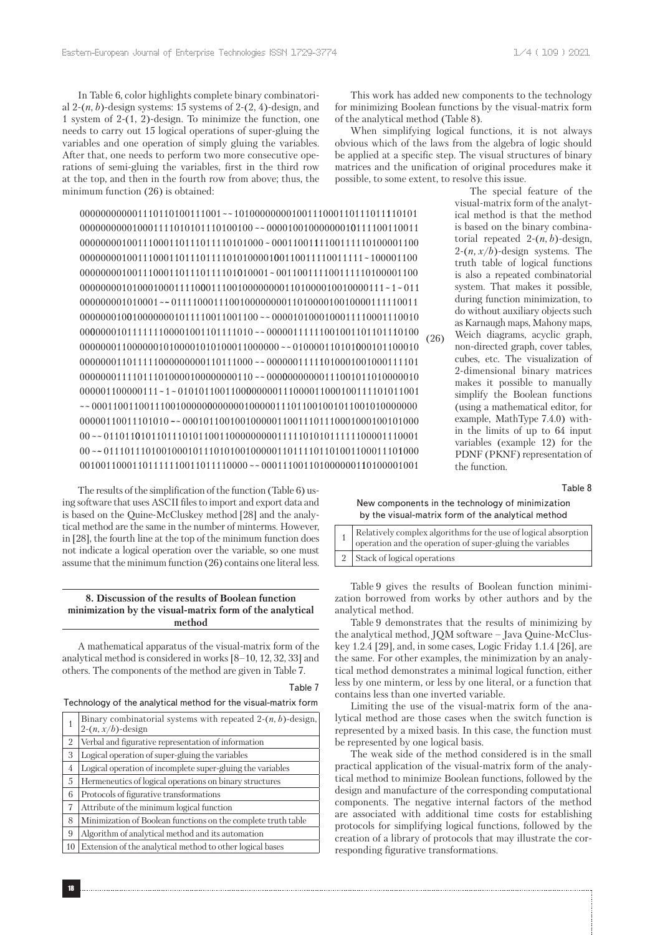In Table 6, color highlights complete binary combinatorial 2-(*n*, *b*)-design systems: 15 systems of 2-(2, 4)-design, and 1 system of 2-(1, 2)-design. To minimize the function, one needs to carry out 15 logical operations of super-gluing the variables and one operation of simply gluing the variables. After that, one needs to perform two more consecutive operations of semi-gluing the variables, first in the third row at the top, and then in the fourth row from above; thus, the minimum function (26) is obtained:

000000000001110110100111001~~10100000000100111000110111011110101 ~~ 00001001000000010111100110011 ~ 1 0001100111100111110100001100 **0**0110011110011111~100001100 00000001001110001101110111101010001~001100111100111110100001100 00111001000000001101000010010000111 1 011 ~ ~ ~~ 01111000111001000000001101000010010000111110011 0000101000100011110001110010 ~~ 0000010111111100001001101111010 ~~ 00000111111001001101101110100 ~~ 010000110101000101100010 ~~ 00000011111010001001000111101 ~~ 00000000000111001011010000010 000001100000111~ ~1 0101011001100000000111000011000100111101011001 ~~ 00011001100111001000000000000100000111011001001011001010000000 ~~ 000101100100100000110011101110001000100101000 ~~ 00 011011010110111010110011000000000111110101011111100001110001 ~~ 011101110100100010111010100100000110111101101001100011101000 ~~ 000111001101000000110100001001

The results of the simplification of the function (Table 6) using software that uses ASCII files to import and export data and is based on the Quine-McCluskey method [28] and the analytical method are the same in the number of minterms. However, in [28], the fourth line at the top of the minimum function does not indicate a logical operation over the variable, so one must assume that the minimum function (26) contains one literal less.

# **8. Discussion of the results of Boolean function minimization by the visual-matrix form of the analytical method**

A mathematical apparatus of the visual-matrix form of the analytical method is considered in works [8–10, 12, 32, 33] and others. The components of the method are given in Table 7.

#### Table 7

#### Technology of the analytical method for the visual-matrix form

|    | Binary combinatorial systems with repeated $2-(n, b)$ -design,<br>$2-(n, x/b)$ -design |
|----|----------------------------------------------------------------------------------------|
| 2  | Verbal and figurative representation of information                                    |
| 3  | Logical operation of super-gluing the variables                                        |
| 4  | Logical operation of incomplete super-gluing the variables                             |
| 5  | Hermeneutics of logical operations on binary structures                                |
| 6  | Protocols of figurative transformations                                                |
| 7  | Attribute of the minimum logical function                                              |
| 8  | Minimization of Boolean functions on the complete truth table                          |
| 9  | Algorithm of analytical method and its automation                                      |
| 10 | Extension of the analytical method to other logical bases                              |

This work has added new components to the technology for minimizing Boolean functions by the visual-matrix form of the analytical method (Table 8).

When simplifying logical functions, it is not always obvious which of the laws from the algebra of logic should be applied at a specific step. The visual structures of binary matrices and the unification of original procedures make it possible, to some extent, to resolve this issue.

The special feature of the visual-matrix form of the analytical method is that the method is based on the binary combinatorial repeated  $2-(n, b)$ -design,  $2-(n, x/b)$ -design systems. The truth table of logical functions is also a repeated combinatorial system. That makes it possible, during function minimization, to do without auxiliary objects such as Karnaugh maps, Mahony maps,

Weich diagrams, acyclic graph, non-directed graph, cover tables, cubes, etc. The visualization of 2-dimensional binary matrices makes it possible to manually simplify the Boolean functions (using a mathematical editor, for example, MathType 7.4.0) within the limits of up to 64 input variables (example 12) for the PDNF (PKNF) representation of the function. (26)

Table 8

New components in the technology of minimization by the visual-matrix form of the analytical method

| $\left\lceil \frac{1}{2} \right\rceil$ Relatively complex algorithms for the use of logical absorption<br>$\frac{1}{1}$ operation and the operation of super-gluing the variables |
|-----------------------------------------------------------------------------------------------------------------------------------------------------------------------------------|
| 2 Stack of logical operations                                                                                                                                                     |

Table 9 gives the results of Boolean function minimization borrowed from works by other authors and by the analytical method.

Table 9 demonstrates that the results of minimizing by the analytical method, JQM software – Java Quine-McCluskey 1.2.4 [29], and, in some cases, Logic Friday 1.1.4 [26], are the same. For other examples, the minimization by an analytical method demonstrates a minimal logical function, either less by one minterm, or less by one literal, or a function that contains less than one inverted variable.

Limiting the use of the visual-matrix form of the analytical method are those cases when the switch function is represented by a mixed basis. In this case, the function must be represented by one logical basis.

The weak side of the method considered is in the small practical application of the visual-matrix form of the analytical method to minimize Boolean functions, followed by the design and manufacture of the corresponding computational components. The negative internal factors of the method are associated with additional time costs for establishing protocols for simplifying logical functions, followed by the creation of a library of protocols that may illustrate the corresponding figurative transformations.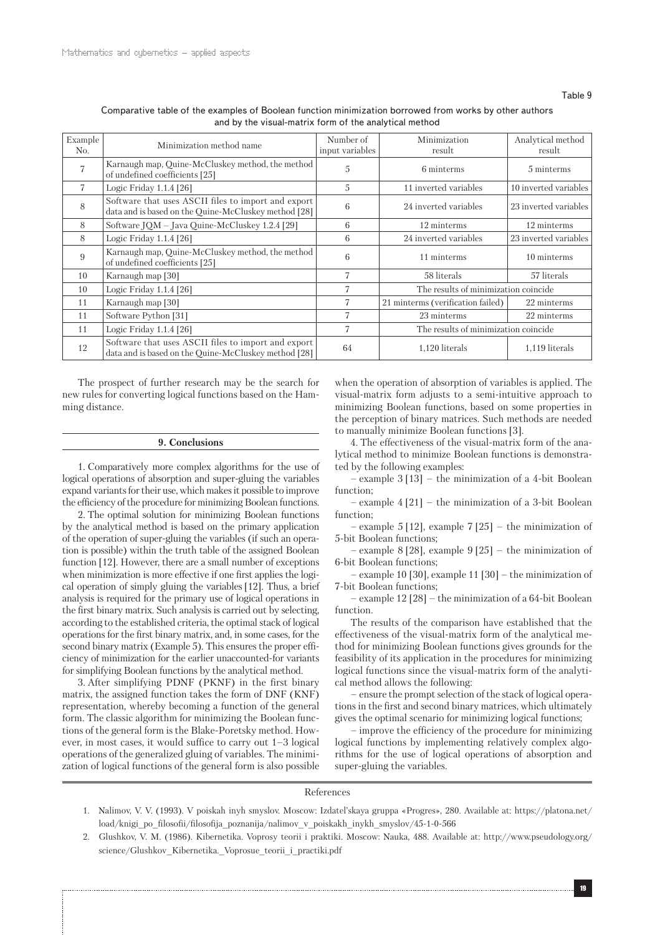| Comparative table of the examples of Boolean function minimization borrowed from works by other authors |
|---------------------------------------------------------------------------------------------------------|
| and by the visual-matrix form of the analytical method                                                  |

| Example<br>No. | Minimization method name                                                                                    | Number of<br>input variables | Minimization<br>result               | Analytical method<br>result |  |
|----------------|-------------------------------------------------------------------------------------------------------------|------------------------------|--------------------------------------|-----------------------------|--|
|                | Karnaugh map, Quine-McCluskey method, the method<br>of undefined coefficients [25]                          | 5                            | 6 minterms                           | 5 minterms                  |  |
| 7              | Logic Friday 1.1.4 [26]                                                                                     | 5                            | 11 inverted variables                | 10 inverted variables       |  |
| 8              | Software that uses ASCII files to import and export<br>data and is based on the Quine-McCluskey method [28] | 6                            | 24 inverted variables                | 23 inverted variables       |  |
| 8              | Software JQM - Java Quine-McCluskey 1.2.4 [29]                                                              | 6                            | 12 minterms                          | 12 minterms                 |  |
| 8              | Logic Friday 1.1.4 [26]                                                                                     | 6                            | 24 inverted variables                | 23 inverted variables       |  |
| 9              | Karnaugh map, Quine-McCluskey method, the method<br>of undefined coefficients [25]                          | 6                            | 11 minterms                          | 10 minterms                 |  |
| 10             | Karnaugh map [30]                                                                                           | 7                            | 58 literals                          | 57 literals                 |  |
| 10             | Logic Friday 1.1.4 [26]                                                                                     |                              | The results of minimization coincide |                             |  |
| 11             | Karnaugh map [30]                                                                                           | 7                            | 21 minterms (verification failed)    | 22 minterms                 |  |
| 11             | Software Python [31]                                                                                        | 7                            | 23 minterms                          | 22 minterms                 |  |
| 11             | Logic Friday 1.1.4 [26]                                                                                     | 7                            | The results of minimization coincide |                             |  |
| 12             | Software that uses ASCII files to import and export<br>data and is based on the Ouine-McCluskey method [28] | 64                           | 1,120 literals                       | 1,119 literals              |  |

The prospect of further research may be the search for new rules for converting logical functions based on the Hamming distance.

#### **9. Conclusions**

1. Comparatively more complex algorithms for the use of logical operations of absorption and super-gluing the variables expand variants for their use, which makes it possible to improve the efficiency of the procedure for minimizing Boolean functions.

2. The optimal solution for minimizing Boolean functions by the analytical method is based on the primary application of the operation of super-gluing the variables (if such an operation is possible) within the truth table of the assigned Boolean function [12]. However, there are a small number of exceptions when minimization is more effective if one first applies the logical operation of simply gluing the variables[12]. Thus, a brief analysis is required for the primary use of logical operations in the first binary matrix. Such analysis is carried out by selecting, according to the established criteria, the optimal stack of logical operations for the first binary matrix, and, in some cases, for the second binary matrix (Example 5). This ensures the proper efficiency of minimization for the earlier unaccounted-for variants for simplifying Boolean functions by the analytical method.

3. After simplifying PDNF (PKNF) in the first binary matrix, the assigned function takes the form of DNF (KNF) representation, whereby becoming a function of the general form. The classic algorithm for minimizing the Boolean functions of the general form is the Blake-Poretsky method. However, in most cases, it would suffice to carry out 1–3 logical operations of the generalized gluing of variables. The minimization of logical functions of the general form is also possible when the operation of absorption of variables is applied. The visual-matrix form adjusts to a semi-intuitive approach to minimizing Boolean functions, based on some properties in the perception of binary matrices. Such methods are needed to manually minimize Boolean functions [3].

4. The effectiveness of the visual-matrix form of the analytical method to minimize Boolean functions is demonstrated by the following examples:

– example 3 [13] – the minimization of a 4-bit Boolean function;

– example 4 [21] – the minimization of a 3-bit Boolean function;

– example 5 [12], example 7 [25] – the minimization of 5-bit Boolean functions;

– example 8 [28], example 9 [25] – the minimization of 6-bit Boolean functions;

– example 10 [30], example 11 [30] – the minimization of 7-bit Boolean functions;

– example 12 [28] – the minimization of a 64-bit Boolean function.

The results of the comparison have established that the effectiveness of the visual-matrix form of the analytical method for minimizing Boolean functions gives grounds for the feasibility of its application in the procedures for minimizing logical functions since the visual-matrix form of the analytical method allows the following:

– ensure the prompt selection of the stack of logical operations in the first and second binary matrices, which ultimately gives the optimal scenario for minimizing logical functions;

– improve the efficiency of the procedure for minimizing logical functions by implementing relatively complex algorithms for the use of logical operations of absorption and super-gluing the variables.

# References

- 1. Nalimov, V. V. (1993). V poiskah inyh smyslov. Moscow: Izdatel'skaya gruppa «Progres», 280. Available at: https://platona.net/ load/knigi\_po\_filosofii/filosofija\_poznanija/nalimov\_v\_poiskakh\_inykh\_smyslov/45-1-0-566
- 2. Glushkov, V. M. (1986). Kibernetika. Voprosy teorii i praktiki. Moscow: Nauka, 488. Available at: http://www.pseudology.org/ science/Glushkov\_Kibernetika.\_Voprosue\_teorii\_i\_practiki.pdf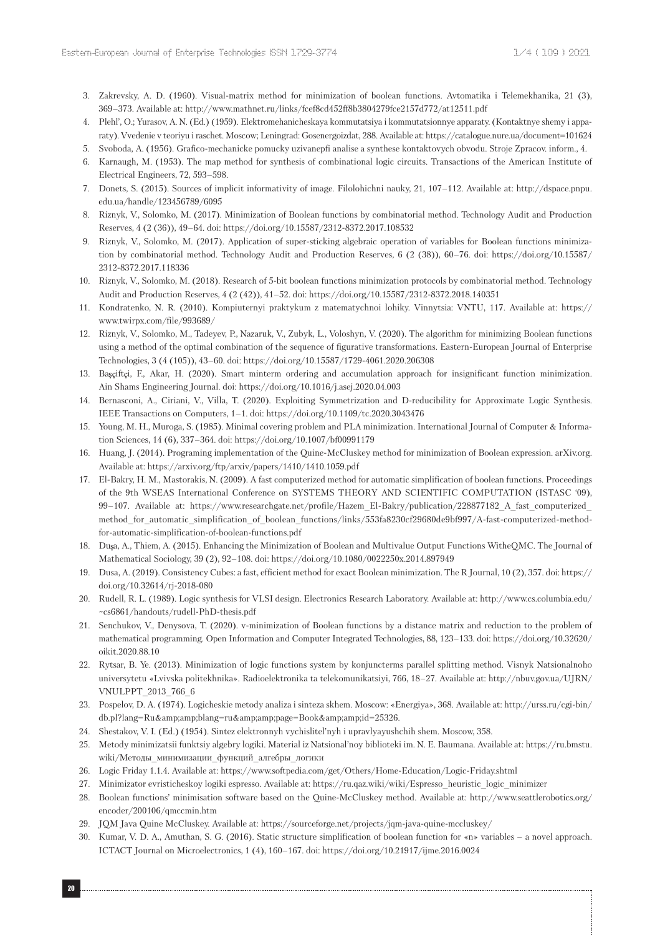- 3. Zakrevsky, A. D. (1960). Visual-matrix method for minimization of boolean functions. Avtomatika i Telemekhanika, 21 (3), 369–373. Available at: http://www.mathnet.ru/links/fcef8cd452ff8b3804279fce2157d772/at12511.pdf
- 4. Plehl', O.; Yurasov, A. N. (Ed.) (1959). Elektromehanicheskaya kommutatsiya i kommutatsionnye apparaty. (Kontaktnye shemy i apparaty). Vvedenie v teoriyu i raschet. Moscow; Leningrad: Gosenergoizdat, 288. Available at: https://catalogue.nure.ua/document=101624
- 5. Svоbоda, A. (1956). Grafico-mechanicke pomucky uzivanepfi analise a synthese kontaktovych obvodu. Stroje Zpracov. inform., 4.
- 6. Karnaugh, M. (1953). The map method for synthesis of combinational logic circuits. Transactions of the American Institute of Electrical Engineers, 72, 593–598.
- 7. Donets, S. (2015). Sources of implicit informativity of image. Filolohichni nauky, 21, 107–112. Available at: http://dspace.pnpu. edu.ua/handle/123456789/6095
- 8. Riznyk, V., Solomko, M. (2017). Minimization of Boolean functions by combinatorial method. Technology Audit and Production Reserves, 4 (2 (36)), 49–64. doi: https://doi.org/10.15587/2312-8372.2017.108532
- 9. Riznyk, V., Solomko, M. (2017). Application of super-sticking algebraic operation of variables for Boolean functions minimization by combinatorial method. Technology Audit and Production Reserves, 6 (2 (38)), 60–76. doi: https://doi.org/10.15587/ 2312-8372.2017.118336
- 10. Riznyk, V., Solomko, M. (2018). Research of 5-bit boolean functions minimization protocols by combinatorial method. Technology Audit and Production Reserves, 4 (2 (42)), 41–52. doi: https://doi.org/10.15587/2312-8372.2018.140351
- 11. Kondratenko, N. R. (2010). Kompiuternyi praktykum z matematychnoi lohiky. Vinnytsia: VNTU, 117. Available at: https:// www.twirpx.com/file/993689/
- 12. Riznyk, V., Solomko, M., Tadeyev, P., Nazaruk, V., Zubyk, L., Voloshyn, V. (2020). The algorithm for minimizing Boolean functions using a method of the optimal combination of the sequence of figurative transformations. Eastern-European Journal of Enterprise Technologies, 3 (4 (105)), 43–60. doi: https://doi.org/10.15587/1729-4061.2020.206308
- 13. Başçiftçi, F., Akar, H. (2020). Smart minterm ordering and accumulation approach for insignificant function minimization. Ain Shams Engineering Journal. doi: https://doi.org/10.1016/j.asej.2020.04.003
- 14. Bernasconi, A., Ciriani, V., Villa, T. (2020). Exploiting Symmetrization and D-reducibility for Approximate Logic Synthesis. IEEE Transactions on Computers, 1–1. doi: https://doi.org/10.1109/tc.2020.3043476
- 15. Young, M. H., Muroga, S. (1985). Minimal covering problem and PLA minimization. International Journal of Computer & Information Sciences, 14 (6), 337–364. doi: https://doi.org/10.1007/bf00991179
- 16. Huang, J. (2014). Programing implementation of the Quine-McCluskey method for minimization of Boolean expression. arXiv.org. Available at: https://arxiv.org/ftp/arxiv/papers/1410/1410.1059.pdf
- 17. El-Bakry, H. M., Mastorakis, N. (2009). A fast computerized method for automatic simplification of boolean functions. Proceedings of the 9th WSEAS International Conference on SYSTEMS THEORY AND SCIENTIFIC COMPUTATION (ISTASC '09), 99–107. Available at: https://www.researchgate.net/profile/Hazem\_El-Bakry/publication/228877182\_A\_fast\_computerized\_ method\_for\_automatic\_simplification\_of\_boolean\_functions/links/553fa8230cf29680de9bf997/A-fast-computerized-methodfor-automatic-simplification-of-boolean-functions.pdf
- 18. Dușa, A., Thiem, A. (2015). Enhancing the Minimization of Boolean and Multivalue Output Functions WitheQMC. The Journal of Mathematical Sociology, 39 (2), 92–108. doi: https://doi.org/10.1080/0022250x.2014.897949
- 19. Dusa, A. (2019). Consistency Cubes: a fast, efficient method for exact Boolean minimization. The R Journal, 10 (2), 357. doi: https:// doi.org/10.32614/rj-2018-080
- 20. Rudell, R. L. (1989). Logic synthesis for VLSI design. Electronics Research Laboratory. Available at: http://www.cs.columbia.edu/ ~cs6861/handouts/rudell-PhD-thesis.pdf
- 21. Senchukov, V., Denysova, T. (2020). v-minimization of Boolean functions by a distance matrix and reduction to the problem of mathematical programming. Open Information and Computer Integrated Technologies, 88, 123–133. doi: https://doi.org/10.32620/ oikit.2020.88.10
- 22. Rytsar, B. Ye. (2013). Minimization of logic functions system by konjuncterms parallel splitting method. Visnyk Natsionalnoho universytetu «Lvivska politekhnika». Radioelektronika ta telekomunikatsiyi, 766, 18–27. Available at: http://nbuv.gov.ua/UJRN/ VNULPPT\_2013\_766\_6
- 23. Pospelov, D. A. (1974). Logicheskie metody analiza i sinteza skhem. Moscow: «Energiya», 368. Available at: http://urss.ru/cgi-bin/ db.pl?lang=Ru&blang=ru&page=Book&id=25326.
- 24. Shestakov, V. I. (Ed.) (1954). Sintez elektronnyh vychislitel'nyh i upravlyayushchih shem. Moscow, 358.
- 25. Metody minimizatsii funktsiy algebry logiki. Material iz Natsional'noy biblioteki im. N. E. Baumana. Available at: https://ru.bmstu. wiki/Методы\_минимизации\_функций\_алгебры\_логики
- 26. Logic Friday 1.1.4. Available at: https://www.softpedia.com/get/Others/Home-Education/Logic-Friday.shtml
- 27. Minimizator evristicheskoy logiki espresso. Available at: https://ru.qaz.wiki/wiki/Espresso\_heuristic\_logic\_minimizer
- 28. Boolean functions' minimisation software based on the Quine-McCluskey method. Available at: http://www.seattlerobotics.org/ encoder/200106/qmccmin.htm
- 29. JQM Java Quine McCluskey. Available at: https://sourceforge.net/projects/jqm-java-quine-mccluskey/
- 30. Kumar, V. D. A., Amuthan, S. G. (2016). Static structure simplification of boolean function for «n» variables a novel approach. ICTACT Journal on Microelectronics, 1 (4), 160–167. doi: https://doi.org/10.21917/ijme.2016.0024